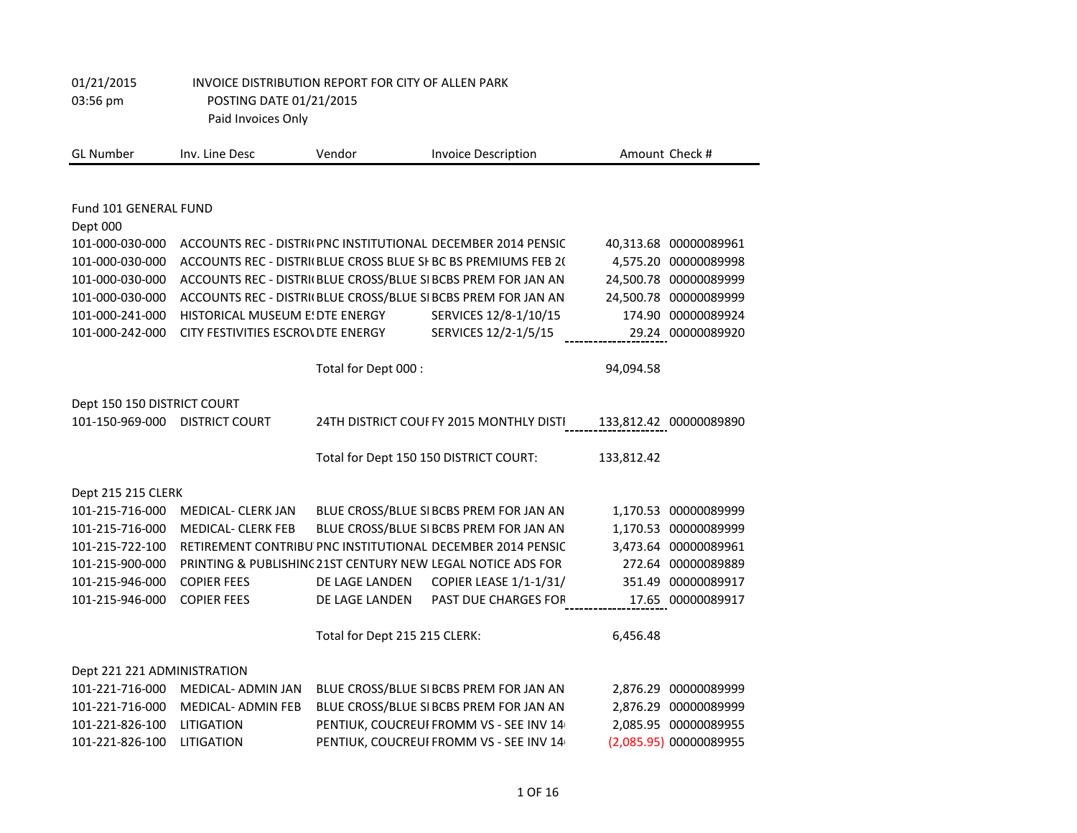| <b>GL Number</b>            | Inv. Line Desc                    | Vendor                        | <b>Invoice Description</b>                                     |            | Amount Check #         |
|-----------------------------|-----------------------------------|-------------------------------|----------------------------------------------------------------|------------|------------------------|
|                             |                                   |                               |                                                                |            |                        |
| Fund 101 GENERAL FUND       |                                   |                               |                                                                |            |                        |
| Dept 000                    |                                   |                               |                                                                |            |                        |
| 101-000-030-000             |                                   |                               | ACCOUNTS REC - DISTRI(PNC INSTITUTIONAL DECEMBER 2014 PENSIC   |            | 40,313.68 00000089961  |
| 101-000-030-000             |                                   |                               | ACCOUNTS REC - DISTRI(BLUE CROSS BLUE SI BC BS PREMIUMS FEB 2( |            | 4,575.20 00000089998   |
| 101-000-030-000             |                                   |                               | ACCOUNTS REC - DISTRI(BLUE CROSS/BLUE SI BCBS PREM FOR JAN AN  |            | 24,500.78 00000089999  |
| 101-000-030-000             |                                   |                               | ACCOUNTS REC - DISTRI(BLUE CROSS/BLUE SI BCBS PREM FOR JAN AN  |            | 24,500.78 00000089999  |
| 101-000-241-000             | HISTORICAL MUSEUM E: DTE ENERGY   |                               | SERVICES 12/8-1/10/15                                          |            | 174.90 00000089924     |
| 101-000-242-000             | CITY FESTIVITIES ESCROVDTE ENERGY |                               | SERVICES 12/2-1/5/15                                           |            | 29.24 00000089920      |
|                             |                                   | Total for Dept 000 :          |                                                                | 94,094.58  |                        |
| Dept 150 150 DISTRICT COURT |                                   |                               |                                                                |            |                        |
| 101-150-969-000             | <b>DISTRICT COURT</b>             |                               | 24TH DISTRICT COUF FY 2015 MONTHLY DISTI                       |            | 133,812.42 00000089890 |
|                             |                                   |                               |                                                                |            |                        |
|                             |                                   |                               | Total for Dept 150 150 DISTRICT COURT:                         | 133,812.42 |                        |
| Dept 215 215 CLERK          |                                   |                               |                                                                |            |                        |
| 101-215-716-000             | <b>MEDICAL- CLERK JAN</b>         |                               | BLUE CROSS/BLUE SI BCBS PREM FOR JAN AN                        |            | 1,170.53 00000089999   |
| 101-215-716-000             | <b>MEDICAL- CLERK FEB</b>         |                               | BLUE CROSS/BLUE SI BCBS PREM FOR JAN AN                        |            | 1,170.53 00000089999   |
| 101-215-722-100             |                                   |                               | RETIREMENT CONTRIBU PNC INSTITUTIONAL DECEMBER 2014 PENSIC     |            | 3,473.64 00000089961   |
| 101-215-900-000             |                                   |                               | PRINTING & PUBLISHING 21ST CENTURY NEW LEGAL NOTICE ADS FOR    |            | 272.64 00000089889     |
| 101-215-946-000             | <b>COPIER FEES</b>                | DE LAGE LANDEN                | COPIER LEASE 1/1-1/31/                                         | 351.49     | 00000089917            |
| 101-215-946-000             | <b>COPIER FEES</b>                | DE LAGE LANDEN                | PAST DUE CHARGES FOR                                           |            | 17.65 00000089917      |
|                             |                                   | Total for Dept 215 215 CLERK: |                                                                | 6,456.48   |                        |
|                             |                                   |                               |                                                                |            |                        |
| Dept 221 221 ADMINISTRATION |                                   |                               |                                                                |            |                        |
| 101-221-716-000             | <b>MEDICAL- ADMIN JAN</b>         |                               | BLUE CROSS/BLUE SI BCBS PREM FOR JAN AN                        |            | 2,876.29 00000089999   |
| 101-221-716-000             | <b>MEDICAL- ADMIN FEB</b>         |                               | BLUE CROSS/BLUE SI BCBS PREM FOR JAN AN                        |            | 2,876.29 00000089999   |
| 101-221-826-100             | LITIGATION                        |                               | PENTIUK, COUCREUI FROMM VS - SEE INV 14                        |            | 2,085.95 00000089955   |
| 101-221-826-100             | LITIGATION                        |                               | PENTIUK, COUCREUI FROMM VS - SEE INV 14                        |            | (2,085.95) 00000089955 |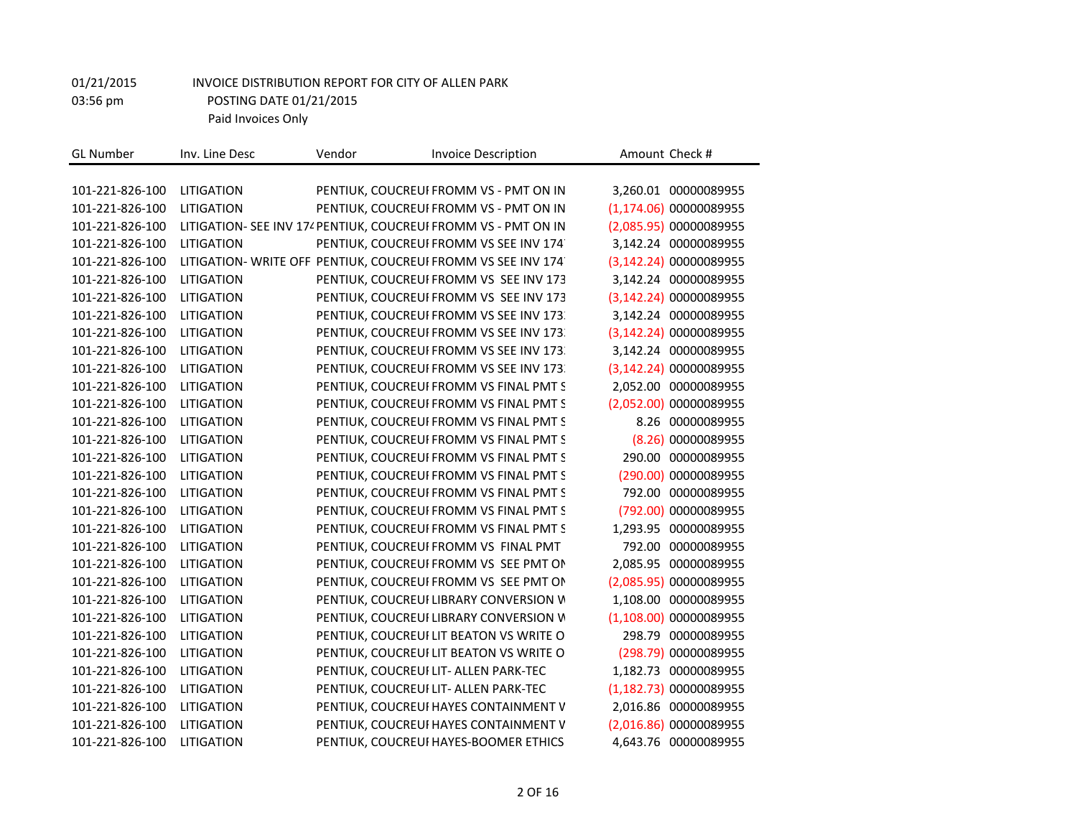| <b>GL Number</b> | Inv. Line Desc    | Vendor | <b>Invoice Description</b>                                     | Amount Check #          |
|------------------|-------------------|--------|----------------------------------------------------------------|-------------------------|
|                  |                   |        |                                                                |                         |
| 101-221-826-100  | <b>LITIGATION</b> |        | PENTIUK, COUCREUI FROMM VS - PMT ON IN                         | 3,260.01 00000089955    |
| 101-221-826-100  | <b>LITIGATION</b> |        | PENTIUK, COUCREUI FROMM VS - PMT ON IN                         | (1, 174.06) 00000089955 |
| 101-221-826-100  |                   |        | LITIGATION- SEE INV 174 PENTIUK, COUCREUI FROMM VS - PMT ON IN | (2,085.95) 00000089955  |
| 101-221-826-100  | <b>LITIGATION</b> |        | PENTIUK, COUCREUI FROMM VS SEE INV 174                         | 3,142.24 00000089955    |
| 101-221-826-100  |                   |        | LITIGATION- WRITE OFF PENTIUK, COUCREUI FROMM VS SEE INV 174   | (3, 142.24) 00000089955 |
| 101-221-826-100  | <b>LITIGATION</b> |        | PENTIUK, COUCREUI FROMM VS SEE INV 173                         | 3,142.24 00000089955    |
| 101-221-826-100  | LITIGATION        |        | PENTIUK, COUCREUI FROMM VS SEE INV 173                         | (3, 142.24) 00000089955 |
| 101-221-826-100  | <b>LITIGATION</b> |        | PENTIUK, COUCREUI FROMM VS SEE INV 173.                        | 3,142.24 00000089955    |
| 101-221-826-100  | <b>LITIGATION</b> |        | PENTIUK, COUCREUI FROMM VS SEE INV 173.                        | (3, 142.24) 00000089955 |
| 101-221-826-100  | LITIGATION        |        | PENTIUK, COUCREUI FROMM VS SEE INV 173.                        | 3,142.24 00000089955    |
| 101-221-826-100  | LITIGATION        |        | PENTIUK, COUCREUI FROMM VS SEE INV 173.                        | (3, 142.24) 00000089955 |
| 101-221-826-100  | LITIGATION        |        | PENTIUK, COUCREUI FROMM VS FINAL PMT S                         | 2,052.00 00000089955    |
| 101-221-826-100  | <b>LITIGATION</b> |        | PENTIUK, COUCREUI FROMM VS FINAL PMT S                         | (2,052.00) 00000089955  |
| 101-221-826-100  | <b>LITIGATION</b> |        | PENTIUK, COUCREUI FROMM VS FINAL PMT S                         | 8.26 00000089955        |
| 101-221-826-100  | <b>LITIGATION</b> |        | PENTIUK, COUCREUI FROMM VS FINAL PMT S                         | (8.26) 00000089955      |
| 101-221-826-100  | <b>LITIGATION</b> |        | PENTIUK, COUCREUI FROMM VS FINAL PMT S                         | 290.00 00000089955      |
| 101-221-826-100  | LITIGATION        |        | PENTIUK, COUCREUI FROMM VS FINAL PMT S                         | (290.00) 00000089955    |
| 101-221-826-100  | <b>LITIGATION</b> |        | PENTIUK, COUCREUI FROMM VS FINAL PMT S                         | 792.00 00000089955      |
| 101-221-826-100  | <b>LITIGATION</b> |        | PENTIUK, COUCREUI FROMM VS FINAL PMT S                         | (792.00) 00000089955    |
| 101-221-826-100  | LITIGATION        |        | PENTIUK, COUCREUI FROMM VS FINAL PMT S                         | 1,293.95 00000089955    |
| 101-221-826-100  | <b>LITIGATION</b> |        | PENTIUK, COUCREUI FROMM VS FINAL PMT                           | 792.00 00000089955      |
| 101-221-826-100  | <b>LITIGATION</b> |        | PENTIUK, COUCREUI FROMM VS SEE PMT ON                          | 2,085.95 00000089955    |
| 101-221-826-100  | <b>LITIGATION</b> |        | PENTIUK, COUCREUI FROMM VS SEE PMT ON                          | (2,085.95) 00000089955  |
| 101-221-826-100  | <b>LITIGATION</b> |        | PENTIUK, COUCREUI LIBRARY CONVERSION W                         | 1,108.00 00000089955    |
| 101-221-826-100  | LITIGATION        |        | PENTIUK, COUCREUI LIBRARY CONVERSION W                         | (1,108.00) 00000089955  |
| 101-221-826-100  | <b>LITIGATION</b> |        | PENTIUK, COUCREUI LIT BEATON VS WRITE O                        | 298.79 00000089955      |
| 101-221-826-100  | LITIGATION        |        | PENTIUK, COUCREUI LIT BEATON VS WRITE O                        | (298.79) 00000089955    |
| 101-221-826-100  | <b>LITIGATION</b> |        | PENTIUK, COUCREUI LIT- ALLEN PARK-TEC                          | 1,182.73 00000089955    |
| 101-221-826-100  | <b>LITIGATION</b> |        | PENTIUK, COUCREUI LIT- ALLEN PARK-TEC                          | (1,182.73) 00000089955  |
| 101-221-826-100  | <b>LITIGATION</b> |        | PENTIUK, COUCREUI HAYES CONTAINMENT V                          | 2,016.86 00000089955    |
| 101-221-826-100  | <b>LITIGATION</b> |        | PENTIUK, COUCREUI HAYES CONTAINMENT V                          | (2,016.86) 00000089955  |
| 101-221-826-100  | LITIGATION        |        | PENTIUK, COUCREUI HAYES-BOOMER ETHICS                          | 4,643.76 00000089955    |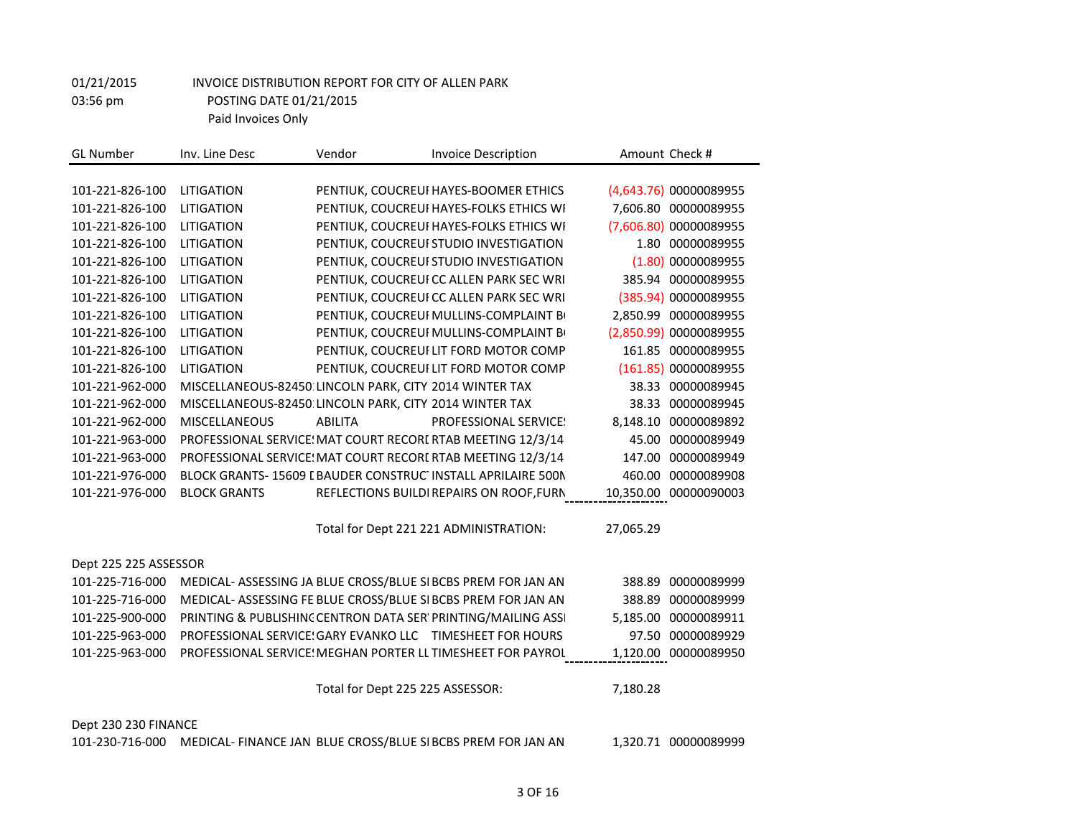| <b>GL Number</b>      | Inv. Line Desc                                                | Vendor                                   | <b>Invoice Description</b> |                              |           | Amount Check #         |
|-----------------------|---------------------------------------------------------------|------------------------------------------|----------------------------|------------------------------|-----------|------------------------|
|                       |                                                               |                                          |                            |                              |           |                        |
| 101-221-826-100       | <b>LITIGATION</b>                                             | PENTIUK, COUCREUI HAYES-BOOMER ETHICS    |                            |                              |           | (4,643.76) 00000089955 |
| 101-221-826-100       | LITIGATION                                                    | PENTIUK, COUCREUI HAYES-FOLKS ETHICS WI  |                            |                              |           | 7,606.80 00000089955   |
| 101-221-826-100       | LITIGATION                                                    | PENTIUK, COUCREUI HAYES-FOLKS ETHICS WI  |                            |                              |           | (7,606.80) 00000089955 |
| 101-221-826-100       | <b>LITIGATION</b>                                             | PENTIUK, COUCREUI STUDIO INVESTIGATION   |                            |                              |           | 1.80 00000089955       |
| 101-221-826-100       | LITIGATION                                                    | PENTIUK, COUCREUI STUDIO INVESTIGATION   |                            |                              |           | (1.80) 00000089955     |
| 101-221-826-100       | <b>LITIGATION</b>                                             | PENTIUK, COUCREUI CC ALLEN PARK SEC WRI  |                            |                              |           | 385.94 00000089955     |
| 101-221-826-100       | LITIGATION                                                    | PENTIUK, COUCREUI CC ALLEN PARK SEC WRI  |                            |                              |           | (385.94) 00000089955   |
| 101-221-826-100       | <b>LITIGATION</b>                                             | PENTIUK, COUCREUI MULLINS-COMPLAINT BO   |                            |                              |           | 2.850.99 00000089955   |
| 101-221-826-100       | <b>LITIGATION</b>                                             | PENTIUK, COUCREUI MULLINS-COMPLAINT BO   |                            |                              |           | (2,850.99) 00000089955 |
| 101-221-826-100       | <b>LITIGATION</b>                                             | PENTIUK, COUCREUI LIT FORD MOTOR COMP    |                            |                              |           | 161.85 00000089955     |
| 101-221-826-100       | LITIGATION                                                    | PENTIUK, COUCREUI LIT FORD MOTOR COMP    |                            |                              |           | (161.85) 00000089955   |
| 101-221-962-000       | MISCELLANEOUS-82450 LINCOLN PARK, CITY 2014 WINTER TAX        |                                          |                            |                              |           | 38.33 00000089945      |
| 101-221-962-000       | MISCELLANEOUS-82450: LINCOLN PARK, CITY 2014 WINTER TAX       |                                          |                            |                              |           | 38.33 00000089945      |
| 101-221-962-000       | <b>MISCELLANEOUS</b>                                          | <b>ABILITA</b>                           |                            | <b>PROFESSIONAL SERVICE:</b> |           | 8,148.10 00000089892   |
| 101-221-963-000       | PROFESSIONAL SERVICE: MAT COURT RECORI RTAB MEETING 12/3/14   |                                          |                            |                              |           | 45.00 00000089949      |
| 101-221-963-000       | PROFESSIONAL SERVICE: MAT COURT RECORI RTAB MEETING 12/3/14   |                                          |                            |                              |           | 147.00 00000089949     |
| 101-221-976-000       | BLOCK GRANTS-15609 I BAUDER CONSTRUC INSTALL APRILAIRE 500N   |                                          |                            |                              |           | 460.00 00000089908     |
| 101-221-976-000       | <b>BLOCK GRANTS</b>                                           | REFLECTIONS BUILDI REPAIRS ON ROOF, FURN |                            |                              |           | 10,350.00 00000090003  |
|                       |                                                               |                                          |                            |                              |           |                        |
|                       |                                                               | Total for Dept 221 221 ADMINISTRATION:   |                            |                              | 27,065.29 |                        |
|                       |                                                               |                                          |                            |                              |           |                        |
| Dept 225 225 ASSESSOR |                                                               |                                          |                            |                              |           |                        |
| 101-225-716-000       | MEDICAL- ASSESSING JA BLUE CROSS/BLUE SI BCBS PREM FOR JAN AN |                                          |                            |                              |           | 388.89 00000089999     |
| 101-225-716-000       | MEDICAL- ASSESSING FE BLUE CROSS/BLUE SI BCBS PREM FOR JAN AN |                                          |                            |                              |           | 388.89 00000089999     |
| 101-225-900-000       | PRINTING & PUBLISHINC CENTRON DATA SER' PRINTING/MAILING ASSI |                                          |                            |                              |           | 5,185.00 00000089911   |
| 101-225-963-000       | PROFESSIONAL SERVICE! GARY EVANKO LLC TIMESHEET FOR HOURS     |                                          |                            |                              |           | 97.50 00000089929      |
| 101-225-963-000       | PROFESSIONAL SERVICE: MEGHAN PORTER LL TIMESHEET FOR PAYROL   |                                          |                            |                              |           | 1,120.00 00000089950   |
|                       |                                                               |                                          |                            |                              |           |                        |
|                       |                                                               | Total for Dept 225 225 ASSESSOR:         |                            |                              | 7,180.28  |                        |
|                       |                                                               |                                          |                            |                              |           |                        |
| Dept 230 230 FINANCE  |                                                               |                                          |                            |                              |           |                        |
| 101-230-716-000       | MEDICAL- FINANCE JAN BLUE CROSS/BLUE SI BCBS PREM FOR JAN AN  |                                          |                            |                              |           | 1,320.71 00000089999   |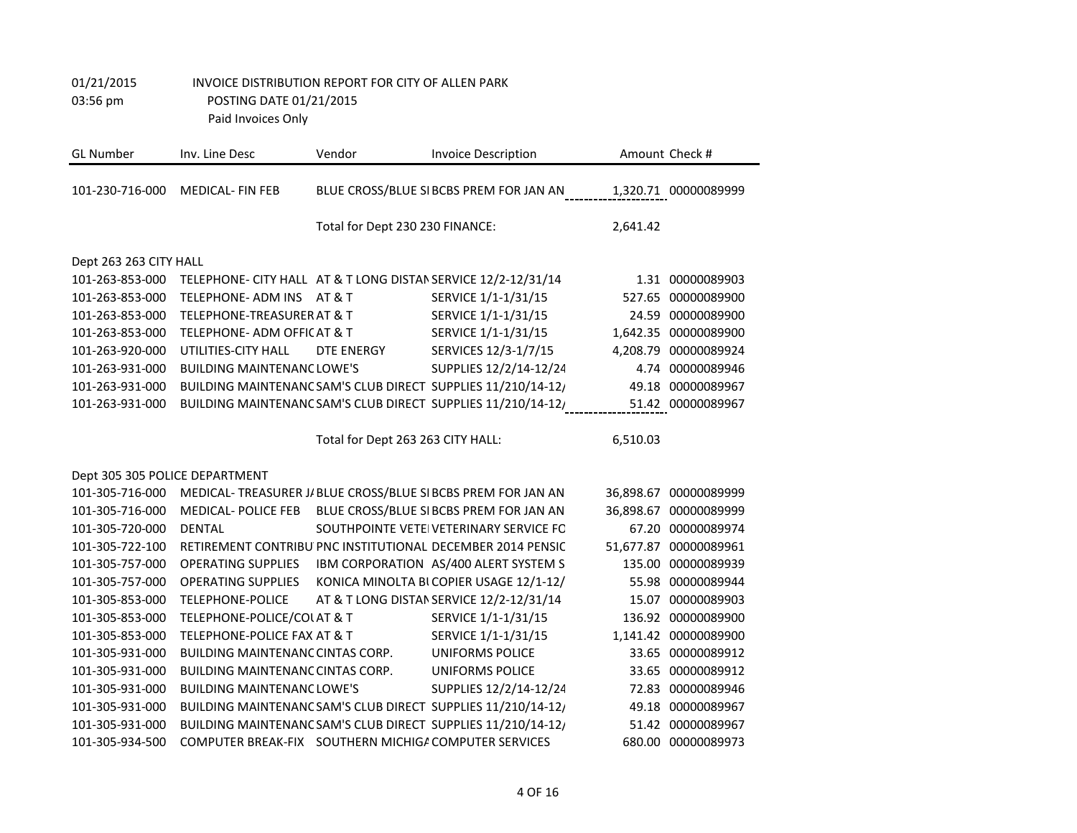| <b>GL Number</b>               | Inv. Line Desc                                                | Vendor                            | <b>Invoice Description</b>                                                     |          | Amount Check #        |
|--------------------------------|---------------------------------------------------------------|-----------------------------------|--------------------------------------------------------------------------------|----------|-----------------------|
| 101-230-716-000                | <b>MEDICAL-FIN FEB</b>                                        |                                   | BLUE CROSS/BLUE SIBCBS PREM FOR JAN AN 1,320.71 00000089999                    |          |                       |
|                                |                                                               | Total for Dept 230 230 FINANCE:   |                                                                                | 2,641.42 |                       |
| Dept 263 263 CITY HALL         |                                                               |                                   |                                                                                |          |                       |
| 101-263-853-000                | TELEPHONE- CITY HALL AT & T LONG DISTAN SERVICE 12/2-12/31/14 |                                   |                                                                                |          | 1.31 00000089903      |
| 101-263-853-000                | TELEPHONE- ADM INS                                            | AT & T                            | SERVICE 1/1-1/31/15                                                            |          | 527.65 00000089900    |
| 101-263-853-000                | TELEPHONE-TREASURER AT & T                                    |                                   | SERVICE 1/1-1/31/15                                                            |          | 24.59 00000089900     |
| 101-263-853-000                | TELEPHONE- ADM OFFICAT & T                                    |                                   | SERVICE 1/1-1/31/15                                                            |          | 1,642.35 00000089900  |
| 101-263-920-000                | UTILITIES-CITY HALL                                           | DTE ENERGY                        | SERVICES 12/3-1/7/15                                                           |          | 4,208.79 00000089924  |
| 101-263-931-000                | <b>BUILDING MAINTENANC LOWE'S</b>                             |                                   | SUPPLIES 12/2/14-12/24                                                         |          | 4.74 00000089946      |
| 101-263-931-000                |                                                               |                                   | BUILDING MAINTENANC SAM'S CLUB DIRECT SUPPLIES 11/210/14-12/                   |          | 49.18 00000089967     |
| 101-263-931-000                |                                                               |                                   | BUILDING MAINTENANC SAM'S CLUB DIRECT SUPPLIES 11/210/14-12/ 51.42 00000089967 |          |                       |
|                                |                                                               |                                   |                                                                                |          |                       |
|                                |                                                               | Total for Dept 263 263 CITY HALL: |                                                                                | 6,510.03 |                       |
|                                |                                                               |                                   |                                                                                |          |                       |
| Dept 305 305 POLICE DEPARTMENT |                                                               |                                   |                                                                                |          |                       |
| 101-305-716-000                |                                                               |                                   | MEDICAL- TREASURER J/ BLUE CROSS/BLUE SI BCBS PREM FOR JAN AN                  |          | 36,898.67 00000089999 |
| 101-305-716-000                | <b>MEDICAL-POLICE FEB</b>                                     |                                   | BLUE CROSS/BLUE SI BCBS PREM FOR JAN AN                                        |          | 36,898.67 00000089999 |
| 101-305-720-000                | <b>DENTAL</b>                                                 |                                   | SOUTHPOINTE VETEIVETERINARY SERVICE FC                                         |          | 67.20 00000089974     |
| 101-305-722-100                |                                                               |                                   | RETIREMENT CONTRIBU PNC INSTITUTIONAL DECEMBER 2014 PENSIC                     |          | 51,677.87 00000089961 |
| 101-305-757-000                | <b>OPERATING SUPPLIES</b>                                     |                                   | IBM CORPORATION AS/400 ALERT SYSTEM S                                          |          | 135.00 00000089939    |
| 101-305-757-000                | <b>OPERATING SUPPLIES</b>                                     |                                   | KONICA MINOLTA BI COPIER USAGE 12/1-12/                                        |          | 55.98 00000089944     |
| 101-305-853-000                | <b>TELEPHONE-POLICE</b>                                       |                                   | AT & T LONG DISTAN SERVICE 12/2-12/31/14                                       | 15.07    | 00000089903           |
| 101-305-853-000                | TELEPHONE-POLICE/COLAT & T                                    |                                   | SERVICE 1/1-1/31/15                                                            |          | 136.92 00000089900    |
| 101-305-853-000                | TELEPHONE-POLICE FAX AT & T                                   |                                   | SERVICE 1/1-1/31/15                                                            |          | 1,141.42 00000089900  |
| 101-305-931-000                | BUILDING MAINTENANC CINTAS CORP.                              |                                   | <b>UNIFORMS POLICE</b>                                                         |          | 33.65 00000089912     |
| 101-305-931-000                | <b>BUILDING MAINTENANC CINTAS CORP.</b>                       |                                   | <b>UNIFORMS POLICE</b>                                                         |          | 33.65 00000089912     |
| 101-305-931-000                | <b>BUILDING MAINTENANC LOWE'S</b>                             |                                   | SUPPLIES 12/2/14-12/24                                                         | 72.83    | 00000089946           |
| 101-305-931-000                |                                                               |                                   | BUILDING MAINTENANC SAM'S CLUB DIRECT SUPPLIES 11/210/14-12/                   | 49.18    | 00000089967           |
| 101-305-931-000                |                                                               |                                   | BUILDING MAINTENANC SAM'S CLUB DIRECT SUPPLIES 11/210/14-12/                   |          | 51.42 00000089967     |
| 101-305-934-500                | COMPUTER BREAK-FIX SOUTHERN MICHIGA COMPUTER SERVICES         |                                   |                                                                                |          | 680.00 00000089973    |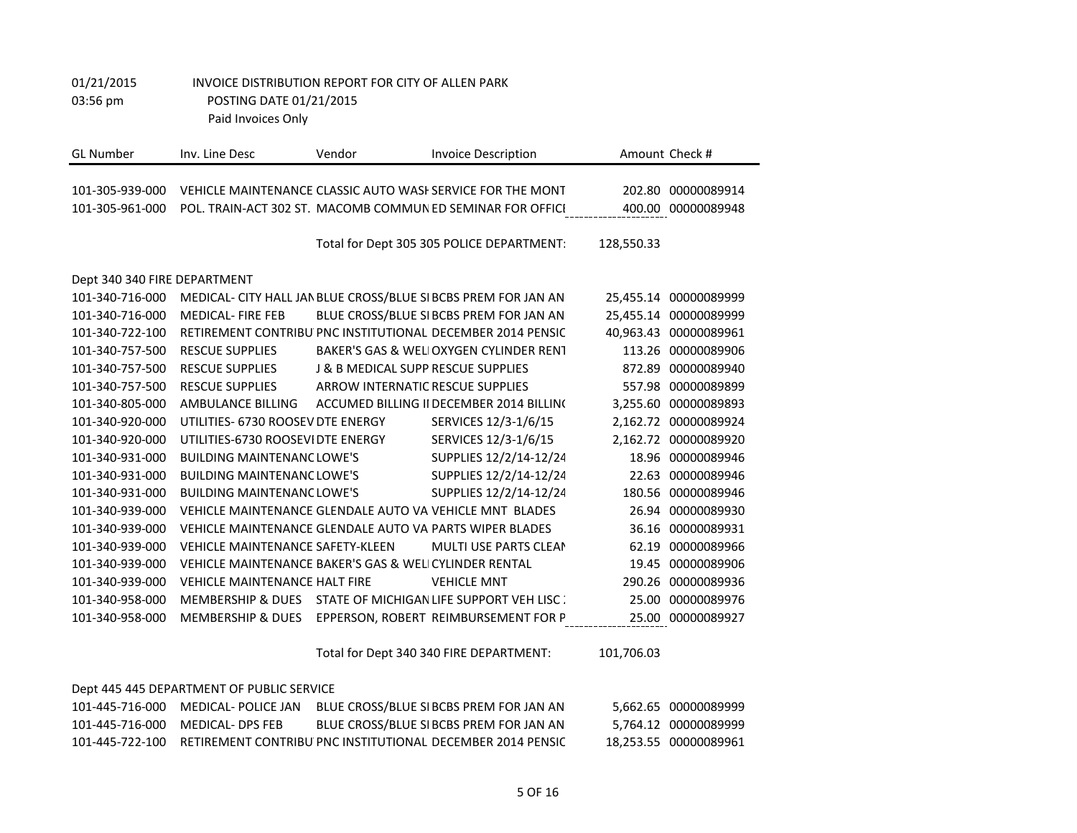| <b>GL</b> Number             | Inv. Line Desc                                          | Vendor                                        | <b>Invoice Description</b>                                     |            | Amount Check #        |
|------------------------------|---------------------------------------------------------|-----------------------------------------------|----------------------------------------------------------------|------------|-----------------------|
| 101-305-939-000              |                                                         |                                               | VEHICLE MAINTENANCE CLASSIC AUTO WASH SERVICE FOR THE MONT     |            | 202.80 00000089914    |
| 101-305-961-000              |                                                         |                                               | POL. TRAIN-ACT 302 ST. MACOMB COMMUNED SEMINAR FOR OFFICI      |            | 400.00 00000089948    |
|                              |                                                         |                                               |                                                                |            |                       |
|                              |                                                         |                                               | Total for Dept 305 305 POLICE DEPARTMENT:                      | 128,550.33 |                       |
| Dept 340 340 FIRE DEPARTMENT |                                                         |                                               |                                                                |            |                       |
| 101-340-716-000              |                                                         |                                               | MEDICAL- CITY HALL JAN BLUE CROSS/BLUE SI BCBS PREM FOR JAN AN |            | 25,455.14 00000089999 |
| 101-340-716-000              | <b>MEDICAL-FIRE FEB</b>                                 |                                               | BLUE CROSS/BLUE SI BCBS PREM FOR JAN AN                        | 25,455.14  | 00000089999           |
| 101-340-722-100              |                                                         |                                               | RETIREMENT CONTRIBU PNC INSTITUTIONAL DECEMBER 2014 PENSIC     |            | 40,963.43 00000089961 |
| 101-340-757-500              | <b>RESCUE SUPPLIES</b>                                  |                                               | BAKER'S GAS & WELIOXYGEN CYLINDER RENT                         |            | 113.26 00000089906    |
| 101-340-757-500              | <b>RESCUE SUPPLIES</b>                                  | <b>J &amp; B MEDICAL SUPP RESCUE SUPPLIES</b> |                                                                | 872.89     | 00000089940           |
| 101-340-757-500              | <b>RESCUE SUPPLIES</b>                                  | <b>ARROW INTERNATIC RESCUE SUPPLIES</b>       |                                                                |            | 557.98 00000089899    |
| 101-340-805-000              | AMBULANCE BILLING                                       |                                               | ACCUMED BILLING II DECEMBER 2014 BILLING                       |            | 3,255.60 00000089893  |
| 101-340-920-000              | UTILITIES- 6730 ROOSEV DTE ENERGY                       |                                               | SERVICES 12/3-1/6/15                                           |            | 2,162.72 00000089924  |
| 101-340-920-000              | UTILITIES-6730 ROOSEVIDTE ENERGY                        |                                               | SERVICES 12/3-1/6/15                                           |            | 2,162.72 00000089920  |
| 101-340-931-000              | <b>BUILDING MAINTENANC LOWE'S</b>                       |                                               | SUPPLIES 12/2/14-12/24                                         | 18.96      | 00000089946           |
| 101-340-931-000              | <b>BUILDING MAINTENANC LOWE'S</b>                       |                                               | SUPPLIES 12/2/14-12/24                                         | 22.63      | 00000089946           |
| 101-340-931-000              | <b>BUILDING MAINTENANC LOWE'S</b>                       |                                               | SUPPLIES 12/2/14-12/24                                         | 180.56     | 00000089946           |
| 101-340-939-000              |                                                         |                                               | VEHICLE MAINTENANCE GLENDALE AUTO VA VEHICLE MNT BLADES        | 26.94      | 00000089930           |
| 101-340-939-000              | VEHICLE MAINTENANCE GLENDALE AUTO VA PARTS WIPER BLADES |                                               |                                                                | 36.16      | 00000089931           |
| 101-340-939-000              | <b>VEHICLE MAINTENANCE SAFETY-KLEEN</b>                 |                                               | <b>MULTI USE PARTS CLEAN</b>                                   | 62.19      | 00000089966           |
| 101-340-939-000              | VEHICLE MAINTENANCE BAKER'S GAS & WELICYLINDER RENTAL   |                                               |                                                                | 19.45      | 00000089906           |
| 101-340-939-000              | <b>VEHICLE MAINTENANCE HALT FIRE</b>                    |                                               | <b>VEHICLE MNT</b>                                             | 290.26     | 00000089936           |
| 101-340-958-000              |                                                         |                                               | MEMBERSHIP & DUES STATE OF MICHIGAN LIFE SUPPORT VEH LISC:     | 25.00      | 00000089976           |
| 101-340-958-000              |                                                         |                                               | MEMBERSHIP & DUES EPPERSON, ROBERT REIMBURSEMENT FOR P         |            | 25.00 00000089927     |

Total for Dept 340 340 FIRE DEPARTMENT: 101,706.03

#### Dept 445 445 DEPARTMENT OF PUBLIC SERVICE

| 101-445-716-000 MEDICAL- DPS FEB | BLUE CROSS/BLUE SI BCBS PREM FOR JAN AN                                    | 5.764.12 00000089999  |
|----------------------------------|----------------------------------------------------------------------------|-----------------------|
|                                  | 101-445-722-100 RETIREMENT CONTRIBU PNC INSTITUTIONAL DECEMBER 2014 PENSIC | 18,253.55 00000089961 |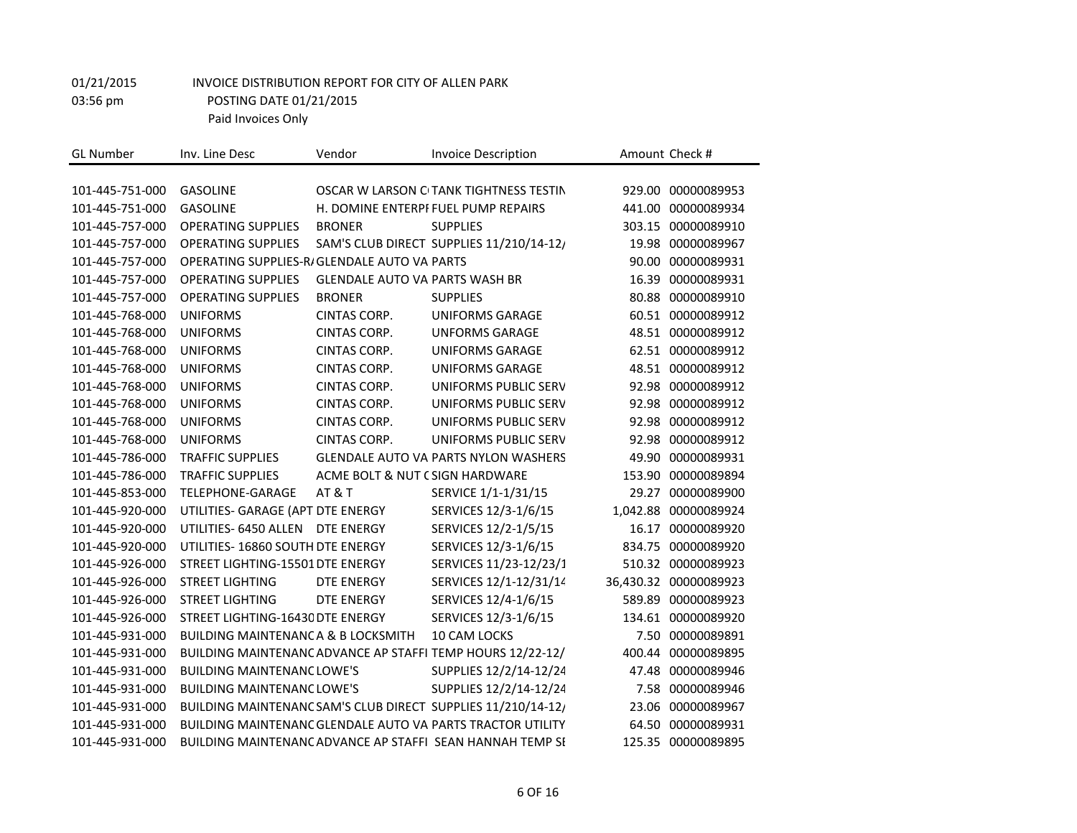| <b>GL Number</b> | Inv. Line Desc                                | Vendor                                | <b>Invoice Description</b>                                   |           | Amount Check #    |
|------------------|-----------------------------------------------|---------------------------------------|--------------------------------------------------------------|-----------|-------------------|
|                  |                                               |                                       |                                                              |           |                   |
| 101-445-751-000  | <b>GASOLINE</b>                               |                                       | OSCAR W LARSON CITANK TIGHTNESS TESTIN                       | 929.00    | 00000089953       |
| 101-445-751-000  | <b>GASOLINE</b>                               |                                       | H. DOMINE ENTERPI FUEL PUMP REPAIRS                          | 441.00    | 00000089934       |
| 101-445-757-000  | <b>OPERATING SUPPLIES</b>                     | <b>BRONER</b>                         | <b>SUPPLIES</b>                                              | 303.15    | 00000089910       |
| 101-445-757-000  | <b>OPERATING SUPPLIES</b>                     |                                       | SAM'S CLUB DIRECT SUPPLIES 11/210/14-12/                     | 19.98     | 00000089967       |
| 101-445-757-000  | OPERATING SUPPLIES-R/GLENDALE AUTO VA PARTS   |                                       |                                                              | 90.00     | 00000089931       |
| 101-445-757-000  | <b>OPERATING SUPPLIES</b>                     | <b>GLENDALE AUTO VA PARTS WASH BR</b> |                                                              | 16.39     | 00000089931       |
| 101-445-757-000  | <b>OPERATING SUPPLIES</b>                     | <b>BRONER</b>                         | <b>SUPPLIES</b>                                              | 80.88     | 00000089910       |
| 101-445-768-000  | <b>UNIFORMS</b>                               | <b>CINTAS CORP.</b>                   | <b>UNIFORMS GARAGE</b>                                       | 60.51     | 00000089912       |
| 101-445-768-000  | <b>UNIFORMS</b>                               | CINTAS CORP.                          | <b>UNFORMS GARAGE</b>                                        | 48.51     | 00000089912       |
| 101-445-768-000  | <b>UNIFORMS</b>                               | <b>CINTAS CORP.</b>                   | <b>UNIFORMS GARAGE</b>                                       |           | 62.51 00000089912 |
| 101-445-768-000  | <b>UNIFORMS</b>                               | CINTAS CORP.                          | <b>UNIFORMS GARAGE</b>                                       |           | 48.51 00000089912 |
| 101-445-768-000  | <b>UNIFORMS</b>                               | <b>CINTAS CORP.</b>                   | UNIFORMS PUBLIC SERV                                         | 92.98     | 00000089912       |
| 101-445-768-000  | <b>UNIFORMS</b>                               | CINTAS CORP.                          | UNIFORMS PUBLIC SERV                                         | 92.98     | 00000089912       |
| 101-445-768-000  | <b>UNIFORMS</b>                               | CINTAS CORP.                          | UNIFORMS PUBLIC SERV                                         | 92.98     | 00000089912       |
| 101-445-768-000  | <b>UNIFORMS</b>                               | CINTAS CORP.                          | UNIFORMS PUBLIC SERV                                         | 92.98     | 00000089912       |
| 101-445-786-000  | <b>TRAFFIC SUPPLIES</b>                       |                                       | <b>GLENDALE AUTO VA PARTS NYLON WASHERS</b>                  | 49.90     | 00000089931       |
| 101-445-786-000  | <b>TRAFFIC SUPPLIES</b>                       | ACME BOLT & NUT C SIGN HARDWARE       |                                                              | 153.90    | 00000089894       |
| 101-445-853-000  | TELEPHONE-GARAGE                              | <b>AT &amp; T</b>                     | SERVICE 1/1-1/31/15                                          | 29.27     | 00000089900       |
| 101-445-920-000  | UTILITIES- GARAGE (APT DTE ENERGY             |                                       | SERVICES 12/3-1/6/15                                         | 1,042.88  | 00000089924       |
| 101-445-920-000  | UTILITIES- 6450 ALLEN                         | DTE ENERGY                            | SERVICES 12/2-1/5/15                                         | 16.17     | 00000089920       |
| 101-445-920-000  | UTILITIES-16860 SOUTH DTE ENERGY              |                                       | SERVICES 12/3-1/6/15                                         | 834.75    | 00000089920       |
| 101-445-926-000  | STREET LIGHTING-15501 DTE ENERGY              |                                       | SERVICES 11/23-12/23/1                                       | 510.32    | 00000089923       |
| 101-445-926-000  | <b>STREET LIGHTING</b>                        | <b>DTE ENERGY</b>                     | SERVICES 12/1-12/31/14                                       | 36,430.32 | 00000089923       |
| 101-445-926-000  | <b>STREET LIGHTING</b>                        | <b>DTE ENERGY</b>                     | SERVICES 12/4-1/6/15                                         | 589.89    | 00000089923       |
| 101-445-926-000  | STREET LIGHTING-16430 DTE ENERGY              |                                       | SERVICES 12/3-1/6/15                                         | 134.61    | 00000089920       |
| 101-445-931-000  | <b>BUILDING MAINTENANCA &amp; B LOCKSMITH</b> |                                       | 10 CAM LOCKS                                                 | 7.50      | 00000089891       |
| 101-445-931-000  |                                               |                                       | BUILDING MAINTENANC ADVANCE AP STAFFI TEMP HOURS 12/22-12/   | 400.44    | 00000089895       |
| 101-445-931-000  | <b>BUILDING MAINTENANC LOWE'S</b>             |                                       | SUPPLIES 12/2/14-12/24                                       | 47.48     | 00000089946       |
| 101-445-931-000  | <b>BUILDING MAINTENANC LOWE'S</b>             |                                       | SUPPLIES 12/2/14-12/24                                       | 7.58      | 00000089946       |
| 101-445-931-000  |                                               |                                       | BUILDING MAINTENANC SAM'S CLUB DIRECT SUPPLIES 11/210/14-12/ | 23.06     | 00000089967       |
| 101-445-931-000  |                                               |                                       | BUILDING MAINTENANC GLENDALE AUTO VA PARTS TRACTOR UTILITY   | 64.50     | 00000089931       |
| 101-445-931-000  |                                               |                                       | BUILDING MAINTENANC ADVANCE AP STAFFI SEAN HANNAH TEMP SI    | 125.35    | 00000089895       |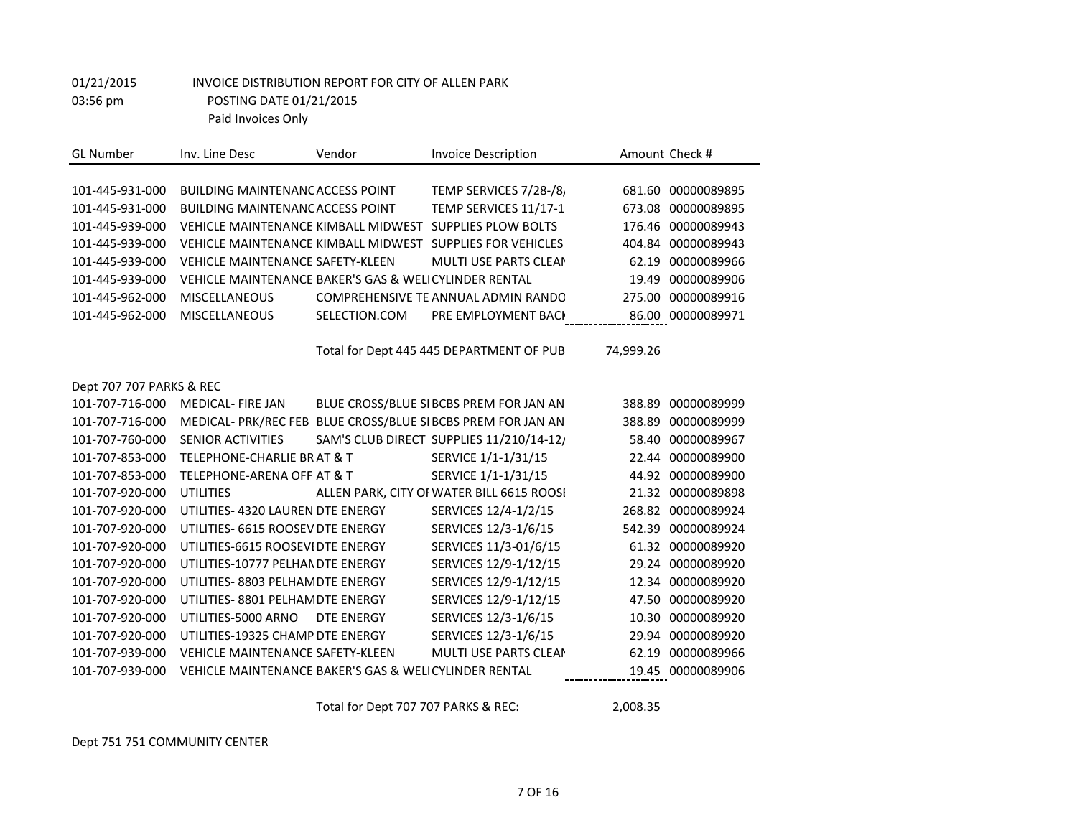| <b>GL Number</b>         | Inv. Line Desc                                        | Vendor            | <b>Invoice Description</b>                                   |           | Amount Check #    |
|--------------------------|-------------------------------------------------------|-------------------|--------------------------------------------------------------|-----------|-------------------|
|                          |                                                       |                   |                                                              |           |                   |
| 101-445-931-000          | <b>BUILDING MAINTENANC ACCESS POINT</b>               |                   | TEMP SERVICES 7/28-/8,                                       | 681.60    | 00000089895       |
| 101-445-931-000          | <b>BUILDING MAINTENANC ACCESS POINT</b>               |                   | TEMP SERVICES 11/17-1                                        | 673.08    | 00000089895       |
| 101-445-939-000          | VEHICLE MAINTENANCE KIMBALL MIDWEST                   |                   | SUPPLIES PLOW BOLTS                                          | 176.46    | 00000089943       |
| 101-445-939-000          |                                                       |                   | VEHICLE MAINTENANCE KIMBALL MIDWEST SUPPLIES FOR VEHICLES    | 404.84    | 00000089943       |
| 101-445-939-000          | <b>VEHICLE MAINTENANCE SAFETY-KLEEN</b>               |                   | <b>MULTI USE PARTS CLEAN</b>                                 | 62.19     | 00000089966       |
| 101-445-939-000          | VEHICLE MAINTENANCE BAKER'S GAS & WELICYLINDER RENTAL |                   |                                                              | 19.49     | 00000089906       |
| 101-445-962-000          | <b>MISCELLANEOUS</b>                                  |                   | COMPREHENSIVE TE ANNUAL ADMIN RANDO                          | 275.00    | 00000089916       |
| 101-445-962-000          | <b>MISCELLANEOUS</b>                                  | SELECTION.COM     | PRE EMPLOYMENT BACK                                          |           | 86.00 00000089971 |
|                          |                                                       |                   |                                                              |           |                   |
|                          |                                                       |                   | Total for Dept 445 445 DEPARTMENT OF PUB                     | 74,999.26 |                   |
|                          |                                                       |                   |                                                              |           |                   |
| Dept 707 707 PARKS & REC |                                                       |                   |                                                              |           |                   |
| 101-707-716-000          | <b>MEDICAL-FIRE JAN</b>                               |                   | BLUE CROSS/BLUE SI BCBS PREM FOR JAN AN                      | 388.89    | 00000089999       |
| 101-707-716-000          |                                                       |                   | MEDICAL- PRK/REC FEB BLUE CROSS/BLUE SI BCBS PREM FOR JAN AN | 388.89    | 00000089999       |
| 101-707-760-000          | <b>SENIOR ACTIVITIES</b>                              |                   | SAM'S CLUB DIRECT SUPPLIES 11/210/14-12/                     | 58.40     | 00000089967       |
| 101-707-853-000          | <b>TELEPHONE-CHARLIE BRAT &amp; T</b>                 |                   | SERVICE 1/1-1/31/15                                          | 22.44     | 00000089900       |
| 101-707-853-000          | <b>TELEPHONE-ARENA OFF AT &amp; T</b>                 |                   | SERVICE 1/1-1/31/15                                          | 44.92     | 00000089900       |
| 101-707-920-000          | <b>UTILITIES</b>                                      |                   | ALLEN PARK, CITY OF WATER BILL 6615 ROOSI                    | 21.32     | 00000089898       |
| 101-707-920-000          | UTILITIES- 4320 LAUREN DTE ENERGY                     |                   | SERVICES 12/4-1/2/15                                         | 268.82    | 00000089924       |
| 101-707-920-000          | UTILITIES- 6615 ROOSEV DTE ENERGY                     |                   | SERVICES 12/3-1/6/15                                         | 542.39    | 00000089924       |
| 101-707-920-000          | UTILITIES-6615 ROOSEVIDTE ENERGY                      |                   | SERVICES 11/3-01/6/15                                        | 61.32     | 00000089920       |
| 101-707-920-000          | UTILITIES-10777 PELHAN DTE ENERGY                     |                   | SERVICES 12/9-1/12/15                                        | 29.24     | 00000089920       |
| 101-707-920-000          | UTILITIES-8803 PELHAM DTE ENERGY                      |                   | SERVICES 12/9-1/12/15                                        | 12.34     | 00000089920       |
| 101-707-920-000          | UTILITIES-8801 PELHAM DTE ENERGY                      |                   | SERVICES 12/9-1/12/15                                        | 47.50     | 00000089920       |
| 101-707-920-000          | UTILITIES-5000 ARNO                                   | <b>DTE ENERGY</b> | SERVICES 12/3-1/6/15                                         | 10.30     | 00000089920       |
| 101-707-920-000          | UTILITIES-19325 CHAMP DTE ENERGY                      |                   | SERVICES 12/3-1/6/15                                         | 29.94     | 00000089920       |
| 101-707-939-000          | <b>VEHICLE MAINTENANCE SAFETY-KLEEN</b>               |                   | MULTI USE PARTS CLEAN                                        | 62.19     | 00000089966       |
| 101-707-939-000          | VEHICLE MAINTENANCE BAKER'S GAS & WELICYLINDER RENTAL |                   |                                                              | 19.45     | 00000089906       |

Total for Dept 707 707 PARKS & REC: 2,008.35

Dept 751 751 COMMUNITY CENTER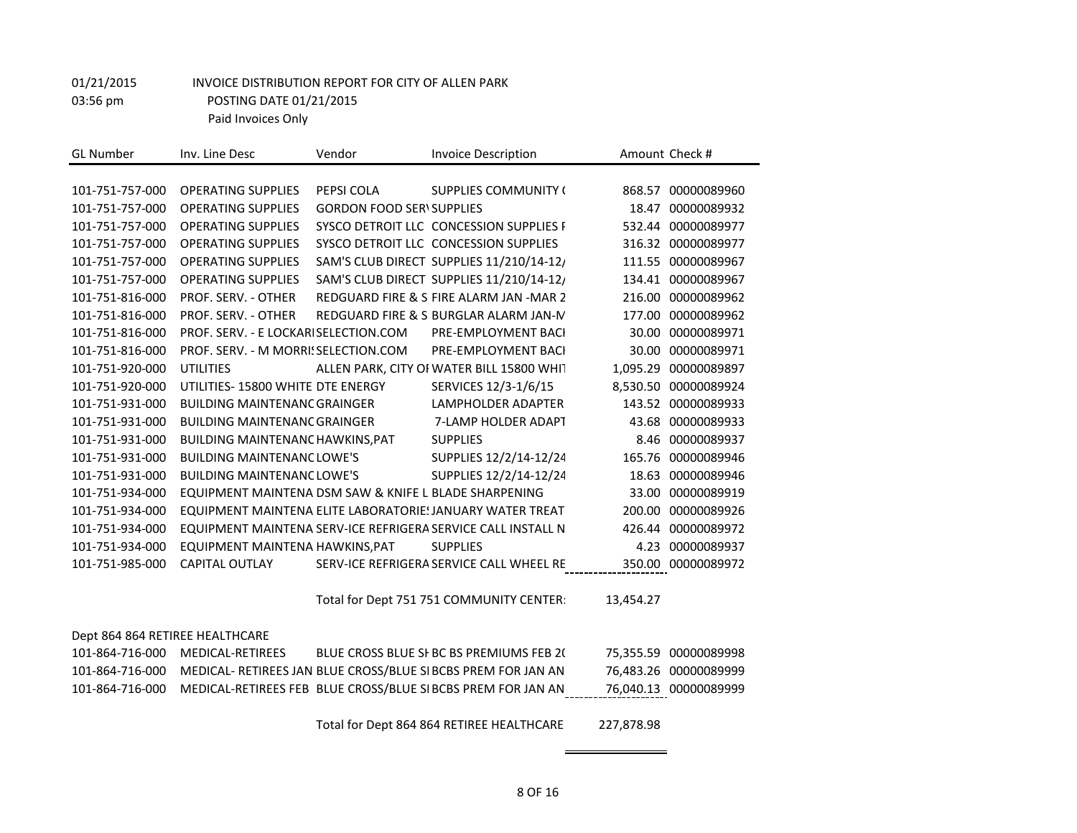| Inv. Line Desc<br>Vendor                | <b>Invoice Description</b>  |                                                                                                                                                                                                                                                                                                                                                                                                                                                                                                                                                                                                                                                                                                                                                                                                                                                                                           | Amount Check #        |
|-----------------------------------------|-----------------------------|-------------------------------------------------------------------------------------------------------------------------------------------------------------------------------------------------------------------------------------------------------------------------------------------------------------------------------------------------------------------------------------------------------------------------------------------------------------------------------------------------------------------------------------------------------------------------------------------------------------------------------------------------------------------------------------------------------------------------------------------------------------------------------------------------------------------------------------------------------------------------------------------|-----------------------|
|                                         |                             |                                                                                                                                                                                                                                                                                                                                                                                                                                                                                                                                                                                                                                                                                                                                                                                                                                                                                           |                       |
| <b>OPERATING SUPPLIES</b><br>PEPSI COLA | <b>SUPPLIES COMMUNITY (</b> |                                                                                                                                                                                                                                                                                                                                                                                                                                                                                                                                                                                                                                                                                                                                                                                                                                                                                           | 868.57 00000089960    |
| <b>OPERATING SUPPLIES</b>               |                             | 18.47                                                                                                                                                                                                                                                                                                                                                                                                                                                                                                                                                                                                                                                                                                                                                                                                                                                                                     | 00000089932           |
| <b>OPERATING SUPPLIES</b>               |                             | 532.44                                                                                                                                                                                                                                                                                                                                                                                                                                                                                                                                                                                                                                                                                                                                                                                                                                                                                    | 00000089977           |
| <b>OPERATING SUPPLIES</b>               |                             |                                                                                                                                                                                                                                                                                                                                                                                                                                                                                                                                                                                                                                                                                                                                                                                                                                                                                           | 316.32 00000089977    |
| <b>OPERATING SUPPLIES</b>               |                             | 111.55                                                                                                                                                                                                                                                                                                                                                                                                                                                                                                                                                                                                                                                                                                                                                                                                                                                                                    | 00000089967           |
| <b>OPERATING SUPPLIES</b>               |                             |                                                                                                                                                                                                                                                                                                                                                                                                                                                                                                                                                                                                                                                                                                                                                                                                                                                                                           | 00000089967           |
| PROF. SERV. - OTHER                     |                             | 216.00                                                                                                                                                                                                                                                                                                                                                                                                                                                                                                                                                                                                                                                                                                                                                                                                                                                                                    | 00000089962           |
| PROF. SERV. - OTHER                     |                             | 177.00                                                                                                                                                                                                                                                                                                                                                                                                                                                                                                                                                                                                                                                                                                                                                                                                                                                                                    | 00000089962           |
|                                         | PRE-EMPLOYMENT BACI         |                                                                                                                                                                                                                                                                                                                                                                                                                                                                                                                                                                                                                                                                                                                                                                                                                                                                                           | 00000089971           |
|                                         | PRE-EMPLOYMENT BACI         | 30.00                                                                                                                                                                                                                                                                                                                                                                                                                                                                                                                                                                                                                                                                                                                                                                                                                                                                                     | 00000089971           |
|                                         |                             | 1,095.29                                                                                                                                                                                                                                                                                                                                                                                                                                                                                                                                                                                                                                                                                                                                                                                                                                                                                  | 00000089897           |
| UTILITIES- 15800 WHITE DTE ENERGY       | SERVICES 12/3-1/6/15        |                                                                                                                                                                                                                                                                                                                                                                                                                                                                                                                                                                                                                                                                                                                                                                                                                                                                                           | 8,530.50 00000089924  |
| <b>BUILDING MAINTENANC GRAINGER</b>     | <b>LAMPHOLDER ADAPTER</b>   | 143.52                                                                                                                                                                                                                                                                                                                                                                                                                                                                                                                                                                                                                                                                                                                                                                                                                                                                                    | 00000089933           |
| <b>BUILDING MAINTENANC GRAINGER</b>     | 7-LAMP HOLDER ADAPT         |                                                                                                                                                                                                                                                                                                                                                                                                                                                                                                                                                                                                                                                                                                                                                                                                                                                                                           | 43.68 00000089933     |
| <b>BUILDING MAINTENANC HAWKINS, PAT</b> | <b>SUPPLIES</b>             | 8.46                                                                                                                                                                                                                                                                                                                                                                                                                                                                                                                                                                                                                                                                                                                                                                                                                                                                                      | 00000089937           |
| <b>BUILDING MAINTENANC LOWE'S</b>       | SUPPLIES 12/2/14-12/24      | 165.76                                                                                                                                                                                                                                                                                                                                                                                                                                                                                                                                                                                                                                                                                                                                                                                                                                                                                    | 00000089946           |
| <b>BUILDING MAINTENANC LOWE'S</b>       | SUPPLIES 12/2/14-12/24      | 18.63                                                                                                                                                                                                                                                                                                                                                                                                                                                                                                                                                                                                                                                                                                                                                                                                                                                                                     | 00000089946           |
|                                         |                             | 33.00                                                                                                                                                                                                                                                                                                                                                                                                                                                                                                                                                                                                                                                                                                                                                                                                                                                                                     | 00000089919           |
|                                         |                             | 200.00                                                                                                                                                                                                                                                                                                                                                                                                                                                                                                                                                                                                                                                                                                                                                                                                                                                                                    | 00000089926           |
|                                         |                             | 426.44                                                                                                                                                                                                                                                                                                                                                                                                                                                                                                                                                                                                                                                                                                                                                                                                                                                                                    | 00000089972           |
| EQUIPMENT MAINTENA HAWKINS, PAT         | <b>SUPPLIES</b>             | 4.23                                                                                                                                                                                                                                                                                                                                                                                                                                                                                                                                                                                                                                                                                                                                                                                                                                                                                      | 00000089937           |
| CAPITAL OUTLAY                          |                             |                                                                                                                                                                                                                                                                                                                                                                                                                                                                                                                                                                                                                                                                                                                                                                                                                                                                                           | 350.00 00000089972    |
|                                         |                             |                                                                                                                                                                                                                                                                                                                                                                                                                                                                                                                                                                                                                                                                                                                                                                                                                                                                                           |                       |
|                                         |                             | 13,454.27                                                                                                                                                                                                                                                                                                                                                                                                                                                                                                                                                                                                                                                                                                                                                                                                                                                                                 |                       |
|                                         |                             |                                                                                                                                                                                                                                                                                                                                                                                                                                                                                                                                                                                                                                                                                                                                                                                                                                                                                           |                       |
| Dept 864 864 RETIREE HEALTHCARE         |                             |                                                                                                                                                                                                                                                                                                                                                                                                                                                                                                                                                                                                                                                                                                                                                                                                                                                                                           |                       |
| MEDICAL-RETIREES                        |                             |                                                                                                                                                                                                                                                                                                                                                                                                                                                                                                                                                                                                                                                                                                                                                                                                                                                                                           | 75,355.59 00000089998 |
|                                         |                             |                                                                                                                                                                                                                                                                                                                                                                                                                                                                                                                                                                                                                                                                                                                                                                                                                                                                                           | 76,483.26 00000089999 |
|                                         |                             |                                                                                                                                                                                                                                                                                                                                                                                                                                                                                                                                                                                                                                                                                                                                                                                                                                                                                           | 76,040.13 00000089999 |
|                                         |                             | <b>GORDON FOOD SERV SUPPLIES</b><br>SYSCO DETROIT LLC CONCESSION SUPPLIES F<br>SYSCO DETROIT LLC CONCESSION SUPPLIES<br>SAM'S CLUB DIRECT SUPPLIES 11/210/14-12/<br>SAM'S CLUB DIRECT SUPPLIES 11/210/14-12/<br>REDGUARD FIRE & SI FIRE ALARM JAN -MAR 2<br>REDGUARD FIRE & S BURGLAR ALARM JAN-M<br>PROF. SERV. - E LOCKARISELECTION.COM<br>PROF. SERV. - M MORRI! SELECTION.COM<br>ALLEN PARK, CITY OF WATER BILL 15800 WHIT<br>EQUIPMENT MAINTENA DSM SAW & KNIFE L BLADE SHARPENING<br>EQUIPMENT MAINTENA ELITE LABORATORIE: JANUARY WATER TREAT<br>EQUIPMENT MAINTENA SERV-ICE REFRIGERA SERVICE CALL INSTALL N<br>SERV-ICE REFRIGERA SERVICE CALL WHEEL RE<br>Total for Dept 751 751 COMMUNITY CENTER:<br>BLUE CROSS BLUE SI BC BS PREMIUMS FEB 20<br>MEDICAL- RETIREES JAN BLUE CROSS/BLUE SI BCBS PREM FOR JAN AN<br>MEDICAL-RETIREES FEB BLUE CROSS/BLUE SI BCBS PREM FOR JAN AN | 134.41<br>30.00       |

Total for Dept 864 864 RETIREE HEALTHCARE: 227,878.98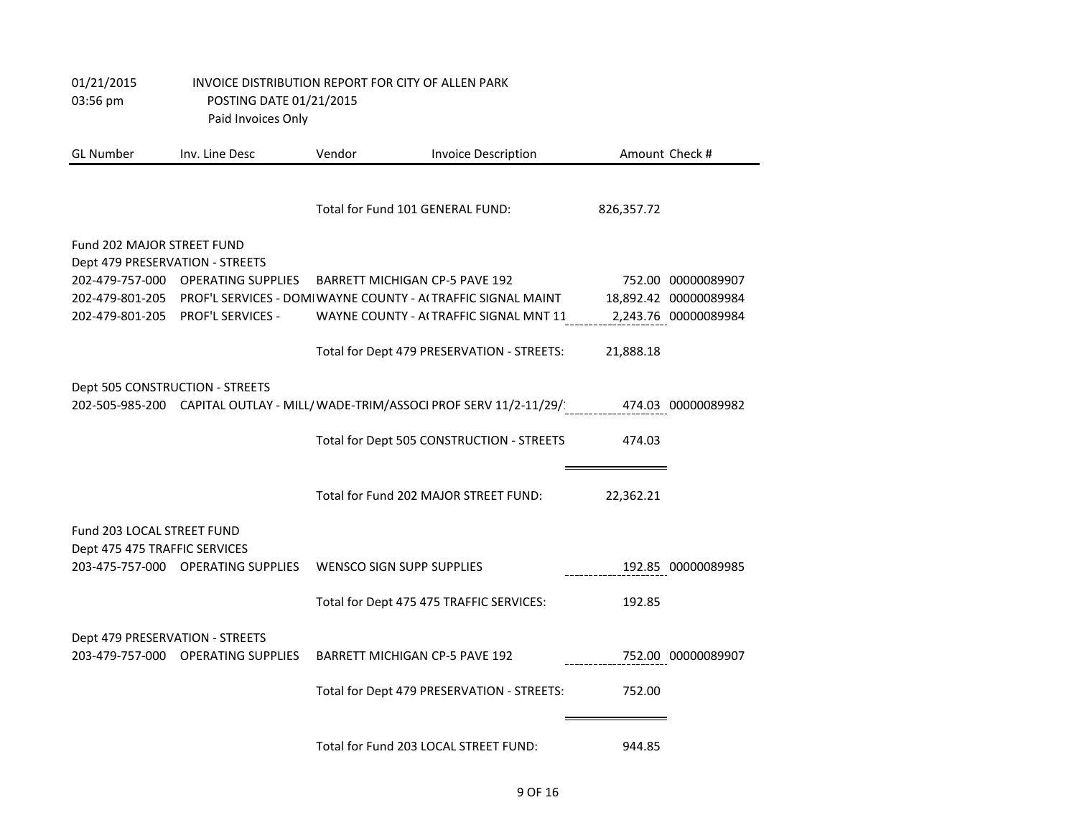| 01/21/2015<br>03:56 pm                                        | INVOICE DISTRIBUTION REPORT FOR CITY OF ALLEN PARK<br>POSTING DATE 01/21/2015<br>Paid Invoices Only |        |                                                                               |            |                       |
|---------------------------------------------------------------|-----------------------------------------------------------------------------------------------------|--------|-------------------------------------------------------------------------------|------------|-----------------------|
| <b>GL Number</b>                                              | Inv. Line Desc                                                                                      | Vendor | <b>Invoice Description</b>                                                    |            | Amount Check #        |
|                                                               |                                                                                                     |        | Total for Fund 101 GENERAL FUND:                                              | 826,357.72 |                       |
| Fund 202 MAJOR STREET FUND<br>Dept 479 PRESERVATION - STREETS |                                                                                                     |        |                                                                               |            |                       |
|                                                               | 202-479-757-000 OPERATING SUPPLIES                                                                  |        | <b>BARRETT MICHIGAN CP-5 PAVE 192</b>                                         |            | 752.00 00000089907    |
| 202-479-801-205                                               |                                                                                                     |        | PROF'L SERVICES - DOMI WAYNE COUNTY - ACTRAFFIC SIGNAL MAINT                  |            | 18,892.42 00000089984 |
|                                                               | 202-479-801-205 PROF'L SERVICES -                                                                   |        | WAYNE COUNTY - ACTRAFFIC SIGNAL MNT 11                                        |            | 2,243.76 00000089984  |
|                                                               |                                                                                                     |        | Total for Dept 479 PRESERVATION - STREETS:                                    | 21,888.18  |                       |
| Dept 505 CONSTRUCTION - STREETS                               |                                                                                                     |        |                                                                               |            |                       |
|                                                               |                                                                                                     |        | 202-505-985-200 CAPITAL OUTLAY - MILL/ WADE-TRIM/ASSOCI PROF SERV 11/2-11/29/ |            | 474.03 00000089982    |
|                                                               |                                                                                                     |        | Total for Dept 505 CONSTRUCTION - STREETS                                     | 474.03     |                       |
|                                                               |                                                                                                     |        | Total for Fund 202 MAJOR STREET FUND:                                         | 22,362.21  |                       |
| Fund 203 LOCAL STREET FUND                                    |                                                                                                     |        |                                                                               |            |                       |
| Dept 475 475 TRAFFIC SERVICES                                 | 203-475-757-000 OPERATING SUPPLIES                                                                  |        | <b>WENSCO SIGN SUPP SUPPLIES</b>                                              |            | 192.85 00000089985    |
|                                                               |                                                                                                     |        | Total for Dept 475 475 TRAFFIC SERVICES:                                      | 192.85     |                       |
| Dept 479 PRESERVATION - STREETS                               |                                                                                                     |        |                                                                               |            |                       |
|                                                               | 203-479-757-000 OPERATING SUPPLIES                                                                  |        | <b>BARRETT MICHIGAN CP-5 PAVE 192</b>                                         |            | 752.00 00000089907    |
|                                                               |                                                                                                     |        | Total for Dept 479 PRESERVATION - STREETS:                                    | 752.00     |                       |
|                                                               |                                                                                                     |        | Total for Fund 203 LOCAL STREET FUND:                                         | 944.85     |                       |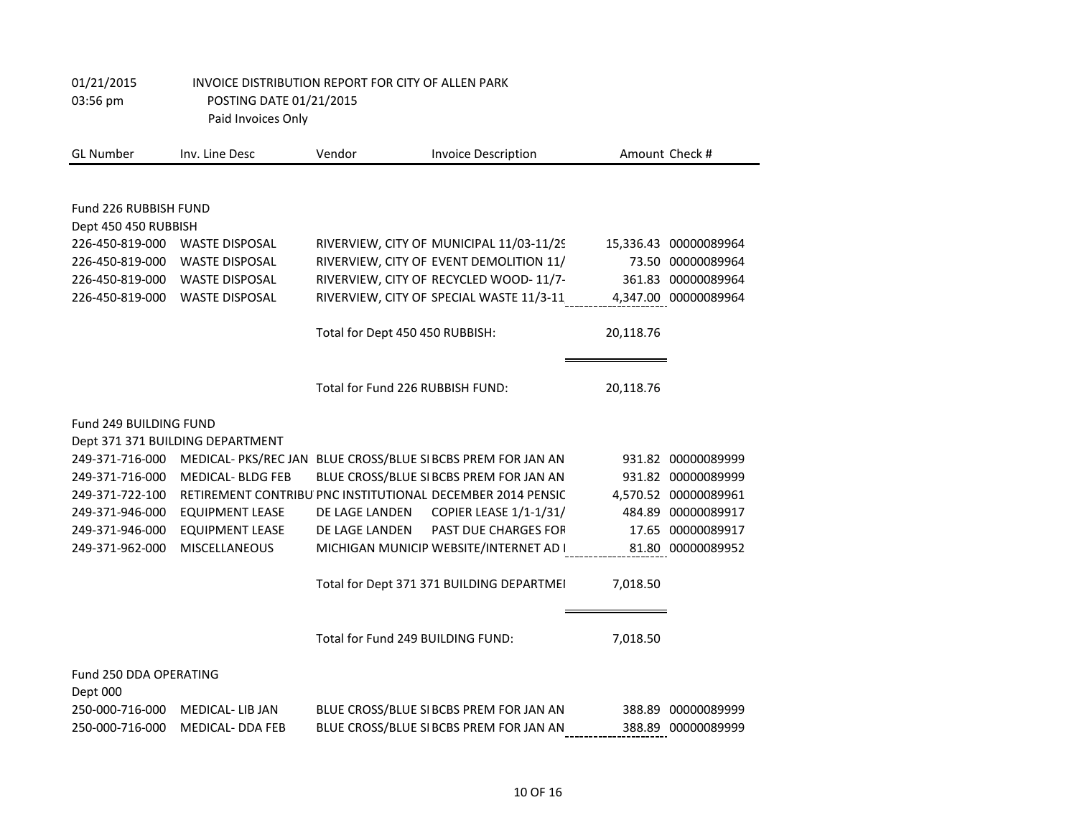| <b>GL Number</b>                              | Inv. Line Desc                   | Vendor                            | <b>Invoice Description</b>                                   |           | Amount Check #        |
|-----------------------------------------------|----------------------------------|-----------------------------------|--------------------------------------------------------------|-----------|-----------------------|
|                                               |                                  |                                   |                                                              |           |                       |
| Fund 226 RUBBISH FUND<br>Dept 450 450 RUBBISH |                                  |                                   |                                                              |           |                       |
| 226-450-819-000                               | <b>WASTE DISPOSAL</b>            |                                   | RIVERVIEW, CITY OF MUNICIPAL 11/03-11/29                     |           | 15,336.43 00000089964 |
| 226-450-819-000                               | <b>WASTE DISPOSAL</b>            |                                   | RIVERVIEW, CITY OF EVENT DEMOLITION 11/                      |           | 73.50 00000089964     |
| 226-450-819-000                               | <b>WASTE DISPOSAL</b>            |                                   | RIVERVIEW, CITY OF RECYCLED WOOD-11/7-                       |           | 361.83 00000089964    |
| 226-450-819-000                               | <b>WASTE DISPOSAL</b>            |                                   | RIVERVIEW, CITY OF SPECIAL WASTE 11/3-11                     |           | 4,347.00 00000089964  |
|                                               |                                  | Total for Dept 450 450 RUBBISH:   |                                                              | 20,118.76 |                       |
|                                               |                                  | Total for Fund 226 RUBBISH FUND:  |                                                              | 20,118.76 |                       |
| Fund 249 BUILDING FUND                        |                                  |                                   |                                                              |           |                       |
|                                               | Dept 371 371 BUILDING DEPARTMENT |                                   |                                                              |           |                       |
| 249-371-716-000                               |                                  |                                   | MEDICAL- PKS/REC JAN BLUE CROSS/BLUE SI BCBS PREM FOR JAN AN |           | 931.82 00000089999    |
| 249-371-716-000                               | <b>MEDICAL- BLDG FEB</b>         |                                   | BLUE CROSS/BLUE SI BCBS PREM FOR JAN AN                      |           | 931.82 00000089999    |
| 249-371-722-100                               |                                  |                                   | RETIREMENT CONTRIBU PNC INSTITUTIONAL DECEMBER 2014 PENSIC   |           | 4,570.52 00000089961  |
| 249-371-946-000                               | <b>EQUIPMENT LEASE</b>           | DE LAGE LANDEN                    | COPIER LEASE 1/1-1/31/                                       |           | 484.89 00000089917    |
| 249-371-946-000                               | <b>EQUIPMENT LEASE</b>           | DE LAGE LANDEN                    | PAST DUE CHARGES FOR                                         |           | 17.65 00000089917     |
| 249-371-962-000                               | MISCELLANEOUS                    |                                   | MICHIGAN MUNICIP WEBSITE/INTERNET AD I                       |           | 81.80 00000089952     |
|                                               |                                  |                                   | Total for Dept 371 371 BUILDING DEPARTMEI                    | 7,018.50  |                       |
|                                               |                                  | Total for Fund 249 BUILDING FUND: |                                                              | 7,018.50  |                       |
|                                               |                                  |                                   |                                                              |           |                       |
| Fund 250 DDA OPERATING<br>Dept 000            |                                  |                                   |                                                              |           |                       |
| 250-000-716-000                               | <b>MEDICAL-LIB JAN</b>           |                                   | BLUE CROSS/BLUE SI BCBS PREM FOR JAN AN                      | 388.89    | 00000089999           |
| 250-000-716-000                               | <b>MEDICAL- DDA FEB</b>          |                                   | BLUE CROSS/BLUE SI BCBS PREM FOR JAN AN                      |           | 388.89 00000089999    |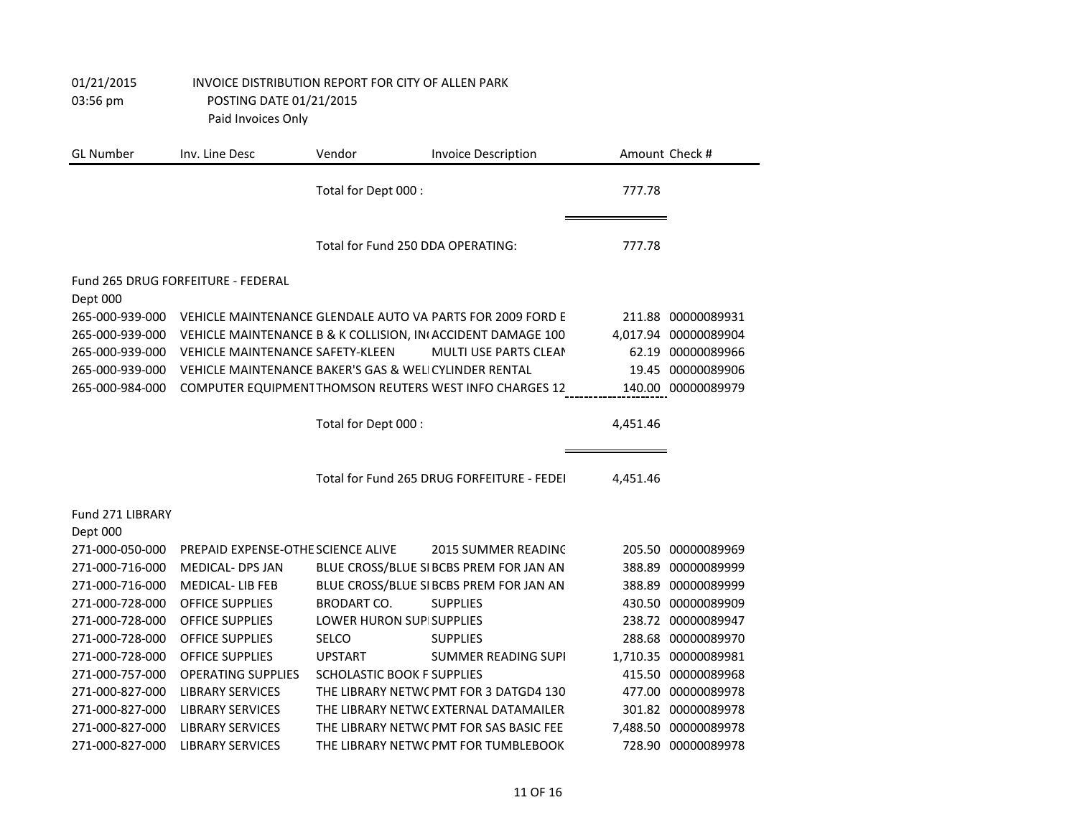| <b>GL Number</b>             | Inv. Line Desc                                        | Vendor                            | <b>Invoice Description</b>                                  |          | Amount Check #       |
|------------------------------|-------------------------------------------------------|-----------------------------------|-------------------------------------------------------------|----------|----------------------|
|                              |                                                       | Total for Dept 000 :              |                                                             | 777.78   |                      |
|                              |                                                       | Total for Fund 250 DDA OPERATING: |                                                             | 777.78   |                      |
| Dept 000                     | Fund 265 DRUG FORFEITURE - FEDERAL                    |                                   |                                                             |          |                      |
| 265-000-939-000              |                                                       |                                   | VEHICLE MAINTENANCE GLENDALE AUTO VA PARTS FOR 2009 FORD E  | 211.88   | 00000089931          |
| 265-000-939-000              |                                                       |                                   | VEHICLE MAINTENANCE B & K COLLISION, IN ACCIDENT DAMAGE 100 | 4,017.94 | 00000089904          |
| 265-000-939-000              | <b>VEHICLE MAINTENANCE SAFETY-KLEEN</b>               |                                   | <b>MULTI USE PARTS CLEAN</b>                                |          | 62.19 00000089966    |
| 265-000-939-000              | VEHICLE MAINTENANCE BAKER'S GAS & WELICYLINDER RENTAL |                                   |                                                             |          | 19.45 00000089906    |
| 265-000-984-000              |                                                       |                                   | COMPUTER EQUIPMENT THOMSON REUTERS WEST INFO CHARGES 12     |          | 140.00 00000089979   |
|                              |                                                       | Total for Dept 000 :              |                                                             | 4,451.46 |                      |
|                              |                                                       |                                   | Total for Fund 265 DRUG FORFEITURE - FEDEI                  | 4,451.46 |                      |
| Fund 271 LIBRARY<br>Dept 000 |                                                       |                                   |                                                             |          |                      |
| 271-000-050-000              | PREPAID EXPENSE-OTHE SCIENCE ALIVE                    |                                   | <b>2015 SUMMER READING</b>                                  |          | 205.50 00000089969   |
| 271-000-716-000              | <b>MEDICAL- DPS JAN</b>                               |                                   | BLUE CROSS/BLUE SI BCBS PREM FOR JAN AN                     |          | 388.89 00000089999   |
| 271-000-716-000              | <b>MEDICAL-LIB FEB</b>                                |                                   | BLUE CROSS/BLUE SI BCBS PREM FOR JAN AN                     |          | 388.89 00000089999   |
| 271-000-728-000              | <b>OFFICE SUPPLIES</b>                                | <b>BRODART CO.</b>                | <b>SUPPLIES</b>                                             |          | 430.50 00000089909   |
| 271-000-728-000              | <b>OFFICE SUPPLIES</b>                                | LOWER HURON SUPISUPPLIES          |                                                             | 238.72   | 00000089947          |
| 271-000-728-000              | <b>OFFICE SUPPLIES</b>                                | SELCO                             | <b>SUPPLIES</b>                                             | 288.68   | 00000089970          |
| 271-000-728-000              | <b>OFFICE SUPPLIES</b>                                | <b>UPSTART</b>                    | <b>SUMMER READING SUPI</b>                                  |          | 1,710.35 00000089981 |
| 271-000-757-000              | <b>OPERATING SUPPLIES</b>                             | SCHOLASTIC BOOK F SUPPLIES        |                                                             |          | 415.50 00000089968   |
| 271-000-827-000              | <b>LIBRARY SERVICES</b>                               |                                   | THE LIBRARY NETWO PMT FOR 3 DATGD4 130                      |          | 477.00 00000089978   |
| 271-000-827-000              | <b>LIBRARY SERVICES</b>                               |                                   | THE LIBRARY NETWC EXTERNAL DATAMAILER                       |          | 301.82 00000089978   |
| 271-000-827-000              | <b>LIBRARY SERVICES</b>                               |                                   | THE LIBRARY NETWO PMT FOR SAS BASIC FEE                     |          | 7,488.50 00000089978 |
| 271-000-827-000              | <b>LIBRARY SERVICES</b>                               |                                   | THE LIBRARY NETWO PMT FOR TUMBLEBOOK                        |          | 728.90 00000089978   |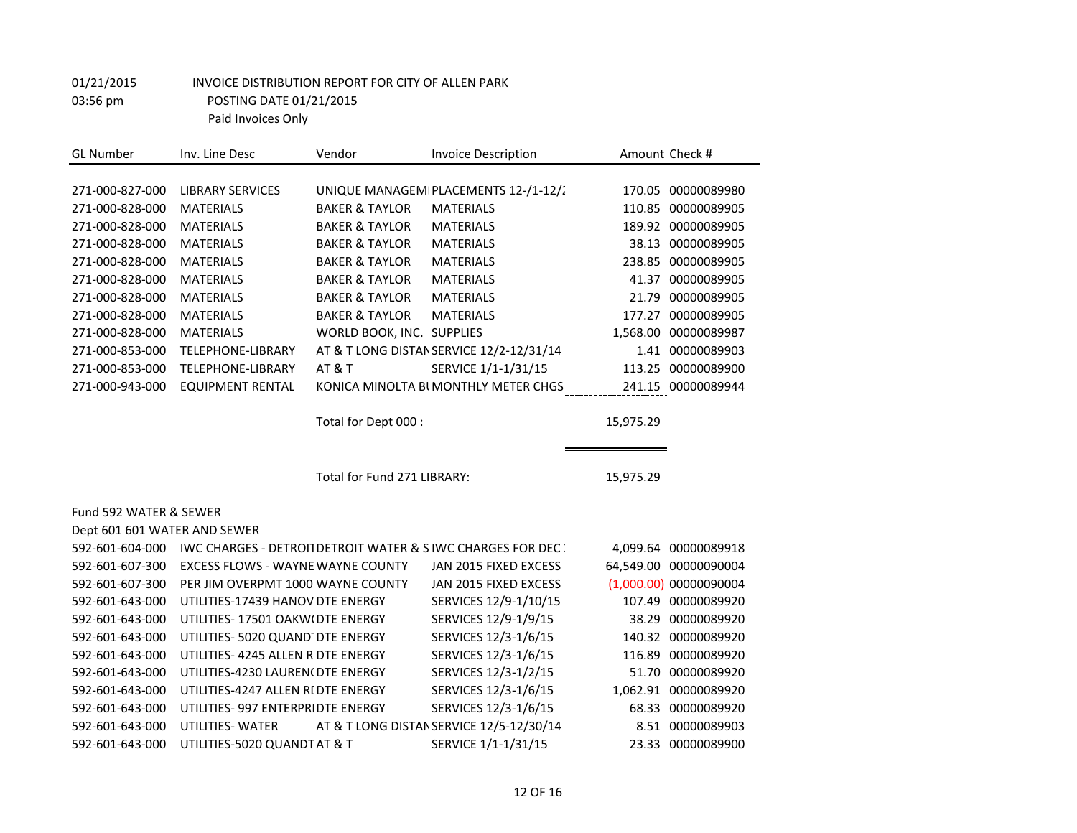| <b>GL Number</b>             | Inv. Line Desc                           | Vendor                      | <b>Invoice Description</b>                                             |           | Amount Check #         |
|------------------------------|------------------------------------------|-----------------------------|------------------------------------------------------------------------|-----------|------------------------|
|                              |                                          |                             |                                                                        |           |                        |
| 271-000-827-000              | <b>LIBRARY SERVICES</b>                  |                             | UNIQUE MANAGEMI PLACEMENTS 12-/1-12/2                                  |           | 170.05 00000089980     |
| 271-000-828-000              | <b>MATERIALS</b>                         | <b>BAKER &amp; TAYLOR</b>   | <b>MATERIALS</b>                                                       |           | 110.85 00000089905     |
| 271-000-828-000              | <b>MATERIALS</b>                         | <b>BAKER &amp; TAYLOR</b>   | <b>MATERIALS</b>                                                       |           | 189.92 00000089905     |
| 271-000-828-000              | <b>MATERIALS</b>                         | <b>BAKER &amp; TAYLOR</b>   | <b>MATERIALS</b>                                                       |           | 38.13 00000089905      |
| 271-000-828-000              | <b>MATERIALS</b>                         | <b>BAKER &amp; TAYLOR</b>   | <b>MATERIALS</b>                                                       | 238.85    | 00000089905            |
| 271-000-828-000              | <b>MATERIALS</b>                         | <b>BAKER &amp; TAYLOR</b>   | <b>MATERIALS</b>                                                       | 41.37     | 00000089905            |
| 271-000-828-000              | <b>MATERIALS</b>                         | <b>BAKER &amp; TAYLOR</b>   | <b>MATERIALS</b>                                                       | 21.79     | 00000089905            |
| 271-000-828-000              | <b>MATERIALS</b>                         | <b>BAKER &amp; TAYLOR</b>   | <b>MATERIALS</b>                                                       | 177.27    | 00000089905            |
| 271-000-828-000              | <b>MATERIALS</b>                         | WORLD BOOK, INC. SUPPLIES   |                                                                        |           | 1,568.00 00000089987   |
| 271-000-853-000              | TELEPHONE-LIBRARY                        |                             | AT & T LONG DISTAN SERVICE 12/2-12/31/14                               | 1.41      | 00000089903            |
| 271-000-853-000              | TELEPHONE-LIBRARY                        | <b>AT &amp; T</b>           | SERVICE 1/1-1/31/15                                                    | 113.25    | 00000089900            |
| 271-000-943-000              | <b>EQUIPMENT RENTAL</b>                  |                             | KONICA MINOLTA BI MONTHLY METER CHGS                                   |           | 241.15 00000089944     |
|                              |                                          |                             |                                                                        |           |                        |
|                              |                                          | Total for Dept 000 :        |                                                                        | 15,975.29 |                        |
|                              |                                          |                             |                                                                        |           |                        |
|                              |                                          |                             |                                                                        |           |                        |
|                              |                                          | Total for Fund 271 LIBRARY: |                                                                        | 15,975.29 |                        |
|                              |                                          |                             |                                                                        |           |                        |
| Fund 592 WATER & SEWER       |                                          |                             |                                                                        |           |                        |
| Dept 601 601 WATER AND SEWER |                                          |                             |                                                                        |           |                        |
| 592-601-604-000              |                                          |                             | <b>IWC CHARGES - DETROIT DETROIT WATER &amp; SIWC CHARGES FOR DEC.</b> |           | 4,099.64 00000089918   |
| 592-601-607-300              | <b>EXCESS FLOWS - WAYNE WAYNE COUNTY</b> |                             | JAN 2015 FIXED EXCESS                                                  |           | 64,549.00 00000090004  |
| 592-601-607-300              | PER JIM OVERPMT 1000 WAYNE COUNTY        |                             | JAN 2015 FIXED EXCESS                                                  |           | (1,000.00) 00000090004 |
| 592-601-643-000              | UTILITIES-17439 HANOV DTE ENERGY         |                             | SERVICES 12/9-1/10/15                                                  |           | 107.49 00000089920     |
| 592-601-643-000              | UTILITIES- 17501 OAKW(DTE ENERGY         |                             | SERVICES 12/9-1/9/15                                                   | 38.29     | 00000089920            |
| 592-601-643-000              | UTILITIES- 5020 QUAND DTE ENERGY         |                             | SERVICES 12/3-1/6/15                                                   |           | 140.32 00000089920     |
| 592-601-643-000              | UTILITIES- 4245 ALLEN R DTE ENERGY       |                             | SERVICES 12/3-1/6/15                                                   |           | 116.89 00000089920     |
| 592-601-643-000              | UTILITIES-4230 LAUREN(DTE ENERGY         |                             | SERVICES 12/3-1/2/15                                                   |           | 51.70 00000089920      |
| 592-601-643-000              | UTILITIES-4247 ALLEN RI DTE ENERGY       |                             | SERVICES 12/3-1/6/15                                                   |           | 1,062.91 00000089920   |
| 592-601-643-000              | UTILITIES- 997 ENTERPRIDTE ENERGY        |                             | SERVICES 12/3-1/6/15                                                   |           | 68.33 00000089920      |
| 592-601-643-000              | UTILITIES- WATER                         |                             | AT & T LONG DISTAN SERVICE 12/5-12/30/14                               |           | 8.51 00000089903       |
| 592-601-643-000              | UTILITIES-5020 QUANDT AT & T             |                             | SERVICE 1/1-1/31/15                                                    |           | 23.33 00000089900      |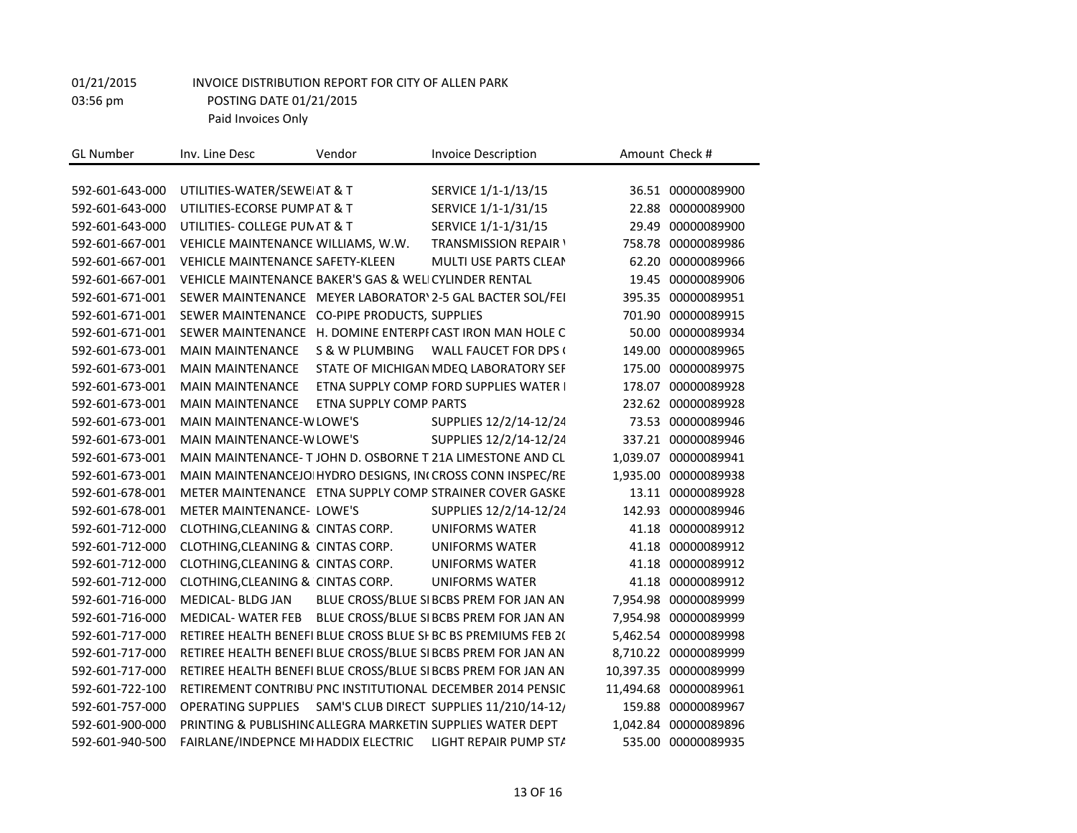| <b>GL Number</b> | Inv. Line Desc                                             | Vendor                  | <b>Invoice Description</b>                                     |          | Amount Check #        |
|------------------|------------------------------------------------------------|-------------------------|----------------------------------------------------------------|----------|-----------------------|
|                  |                                                            |                         |                                                                |          |                       |
| 592-601-643-000  | UTILITIES-WATER/SEWEIAT & T                                |                         | SERVICE 1/1-1/13/15                                            | 36.51    | 00000089900           |
| 592-601-643-000  | UTILITIES-ECORSE PUMP AT & T                               |                         | SERVICE 1/1-1/31/15                                            | 22.88    | 00000089900           |
| 592-601-643-000  | UTILITIES- COLLEGE PUN AT & T                              |                         | SERVICE 1/1-1/31/15                                            | 29.49    | 00000089900           |
| 592-601-667-001  | VEHICLE MAINTENANCE WILLIAMS, W.W.                         |                         | <b>TRANSMISSION REPAIR \</b>                                   | 758.78   | 00000089986           |
| 592-601-667-001  | VEHICLE MAINTENANCE SAFETY-KLEEN                           |                         | MULTI USE PARTS CLEAN                                          | 62.20    | 00000089966           |
| 592-601-667-001  | VEHICLE MAINTENANCE BAKER'S GAS & WELICYLINDER RENTAL      |                         |                                                                | 19.45    | 00000089906           |
| 592-601-671-001  |                                                            |                         | SEWER MAINTENANCE MEYER LABORATOR\ 2-5 GAL BACTER SOL/FEI      | 395.35   | 00000089951           |
| 592-601-671-001  | SEWER MAINTENANCE CO-PIPE PRODUCTS, SUPPLIES               |                         |                                                                | 701.90   | 00000089915           |
| 592-601-671-001  |                                                            |                         | SEWER MAINTENANCE H. DOMINE ENTERPF CAST IRON MAN HOLE C       | 50.00    | 00000089934           |
| 592-601-673-001  | <b>MAIN MAINTENANCE</b>                                    | S & W PLUMBING          | <b>WALL FAUCET FOR DPS (</b>                                   | 149.00   | 00000089965           |
| 592-601-673-001  | <b>MAIN MAINTENANCE</b>                                    |                         | STATE OF MICHIGAN MDEQ LABORATORY SEF                          | 175.00   | 00000089975           |
| 592-601-673-001  | <b>MAIN MAINTENANCE</b>                                    |                         | ETNA SUPPLY COMP. FORD SUPPLIES WATER I                        | 178.07   | 00000089928           |
| 592-601-673-001  | <b>MAIN MAINTENANCE</b>                                    | ETNA SUPPLY COMP. PARTS |                                                                | 232.62   | 00000089928           |
| 592-601-673-001  | MAIN MAINTENANCE-W LOWE'S                                  |                         | SUPPLIES 12/2/14-12/24                                         |          | 73.53 00000089946     |
| 592-601-673-001  | MAIN MAINTENANCE-W LOWE'S                                  |                         | SUPPLIES 12/2/14-12/24                                         | 337.21   | 00000089946           |
| 592-601-673-001  |                                                            |                         | MAIN MAINTENANCE-T JOHN D. OSBORNE T 21A LIMESTONE AND CL      | 1,039.07 | 00000089941           |
| 592-601-673-001  |                                                            |                         | MAIN MAINTENANCEJO  HYDRO DESIGNS, IN(CROSS CONN INSPEC/RE     | 1,935.00 | 00000089938           |
| 592-601-678-001  |                                                            |                         | METER MAINTENANCE ETNA SUPPLY COMP STRAINER COVER GASKE        | 13.11    | 00000089928           |
| 592-601-678-001  | <b>METER MAINTENANCE- LOWE'S</b>                           |                         | SUPPLIES 12/2/14-12/24                                         | 142.93   | 00000089946           |
| 592-601-712-000  | CLOTHING, CLEANING & CINTAS CORP.                          |                         | <b>UNIFORMS WATER</b>                                          | 41.18    | 00000089912           |
| 592-601-712-000  | CLOTHING, CLEANING & CINTAS CORP.                          |                         | <b>UNIFORMS WATER</b>                                          | 41.18    | 00000089912           |
| 592-601-712-000  | CLOTHING, CLEANING & CINTAS CORP.                          |                         | <b>UNIFORMS WATER</b>                                          | 41.18    | 00000089912           |
| 592-601-712-000  | CLOTHING, CLEANING & CINTAS CORP.                          |                         | <b>UNIFORMS WATER</b>                                          | 41.18    | 00000089912           |
| 592-601-716-000  | <b>MEDICAL- BLDG JAN</b>                                   |                         | BLUE CROSS/BLUE SI BCBS PREM FOR JAN AN                        |          | 7,954.98 00000089999  |
| 592-601-716-000  | MEDICAL-WATER FEB                                          |                         | BLUE CROSS/BLUE SI BCBS PREM FOR JAN AN                        | 7,954.98 | 00000089999           |
| 592-601-717-000  |                                                            |                         | RETIREE HEALTH BENEFI BLUE CROSS BLUE SI BC BS PREMIUMS FEB 2( | 5,462.54 | 00000089998           |
| 592-601-717-000  |                                                            |                         | RETIREE HEALTH BENEFI BLUE CROSS/BLUE SI BCBS PREM FOR JAN AN  | 8,710.22 | 00000089999           |
| 592-601-717-000  |                                                            |                         | RETIREE HEALTH BENEFI BLUE CROSS/BLUE SI BCBS PREM FOR JAN AN  |          | 10,397.35 00000089999 |
| 592-601-722-100  |                                                            |                         | RETIREMENT CONTRIBU PNC INSTITUTIONAL DECEMBER 2014 PENSIC     |          | 11,494.68 00000089961 |
| 592-601-757-000  | <b>OPERATING SUPPLIES</b>                                  |                         | SAM'S CLUB DIRECT SUPPLIES 11/210/14-12/                       | 159.88   | 00000089967           |
| 592-601-900-000  | PRINTING & PUBLISHING ALLEGRA MARKETIN SUPPLIES WATER DEPT |                         |                                                                | 1,042.84 | 00000089896           |
| 592-601-940-500  | FAIRLANE/INDEPNCE MI HADDIX ELECTRIC                       |                         | LIGHT REPAIR PUMP STA                                          |          | 535.00 00000089935    |
|                  |                                                            |                         |                                                                |          |                       |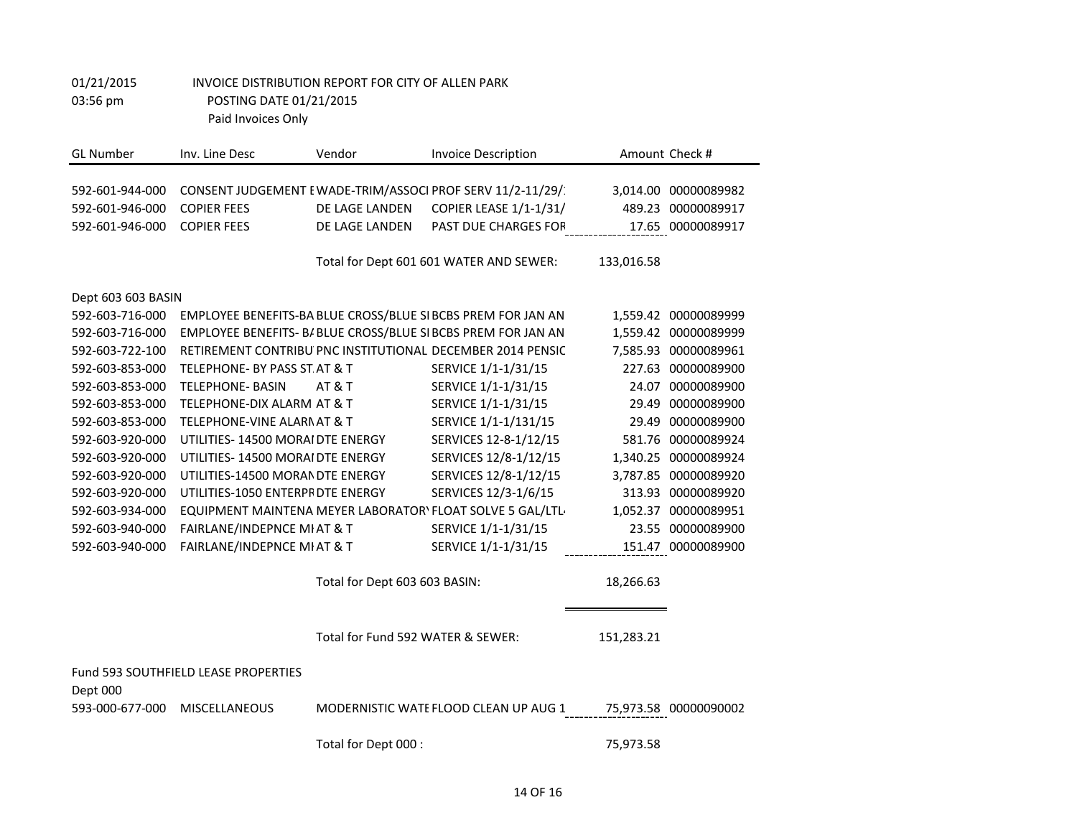| <b>GL Number</b>                   | Inv. Line Desc                       | Vendor                            | <b>Invoice Description</b>                                                           |            | Amount Check #                             |
|------------------------------------|--------------------------------------|-----------------------------------|--------------------------------------------------------------------------------------|------------|--------------------------------------------|
|                                    |                                      |                                   |                                                                                      |            |                                            |
| 592-601-944-000<br>592-601-946-000 | <b>COPIER FEES</b>                   | DE LAGE LANDEN                    | CONSENT JUDGEMENT E WADE-TRIM/ASSOCI PROF SERV 11/2-11/29/<br>COPIER LEASE 1/1-1/31/ |            | 3,014.00 00000089982<br>489.23 00000089917 |
|                                    | <b>COPIER FEES</b>                   |                                   | PAST DUE CHARGES FOR                                                                 |            |                                            |
| 592-601-946-000                    |                                      | DE LAGE LANDEN                    |                                                                                      |            | 17.65 00000089917                          |
|                                    |                                      |                                   | Total for Dept 601 601 WATER AND SEWER:                                              | 133,016.58 |                                            |
| Dept 603 603 BASIN                 |                                      |                                   |                                                                                      |            |                                            |
| 592-603-716-000                    |                                      |                                   | EMPLOYEE BENEFITS-BA BLUE CROSS/BLUE SI BCBS PREM FOR JAN AN                         |            | 1,559.42 00000089999                       |
| 592-603-716-000                    |                                      |                                   | EMPLOYEE BENEFITS- B/ BLUE CROSS/BLUE SI BCBS PREM FOR JAN AN                        |            | 1,559.42 00000089999                       |
| 592-603-722-100                    |                                      |                                   | RETIREMENT CONTRIBU PNC INSTITUTIONAL DECEMBER 2014 PENSIC                           |            | 7,585.93 00000089961                       |
| 592-603-853-000                    | TELEPHONE- BY PASS ST AT & T         |                                   | SERVICE 1/1-1/31/15                                                                  |            | 227.63 00000089900                         |
| 592-603-853-000                    | <b>TELEPHONE- BASIN</b>              | <b>AT &amp; T</b>                 | SERVICE 1/1-1/31/15                                                                  |            | 24.07 00000089900                          |
| 592-603-853-000                    | TELEPHONE-DIX ALARM AT & T           |                                   | SERVICE 1/1-1/31/15                                                                  |            | 29.49 00000089900                          |
| 592-603-853-000                    | TELEPHONE-VINE ALARNAT & T           |                                   | SERVICE 1/1-1/131/15                                                                 | 29.49      | 00000089900                                |
| 592-603-920-000                    | UTILITIES-14500 MORAI DTE ENERGY     |                                   | SERVICES 12-8-1/12/15                                                                | 581.76     | 00000089924                                |
| 592-603-920-000                    | UTILITIES- 14500 MORAI DTE ENERGY    |                                   | SERVICES 12/8-1/12/15                                                                | 1,340.25   | 00000089924                                |
| 592-603-920-000                    | UTILITIES-14500 MORAN DTE ENERGY     |                                   | SERVICES 12/8-1/12/15                                                                |            | 3,787.85 00000089920                       |
| 592-603-920-000                    | UTILITIES-1050 ENTERPF DTE ENERGY    |                                   | SERVICES 12/3-1/6/15                                                                 |            | 313.93 00000089920                         |
| 592-603-934-000                    |                                      |                                   | EQUIPMENT MAINTENA MEYER LABORATOR\ FLOAT SOLVE 5 GAL/LTL                            |            | 1,052.37 00000089951                       |
| 592-603-940-000                    | FAIRLANE/INDEPNCE MI AT & T          |                                   | SERVICE 1/1-1/31/15                                                                  |            | 23.55 00000089900                          |
| 592-603-940-000                    | FAIRLANE/INDEPNCE MI AT & T          |                                   | SERVICE 1/1-1/31/15                                                                  |            | 151.47 00000089900                         |
|                                    |                                      | Total for Dept 603 603 BASIN:     |                                                                                      | 18,266.63  |                                            |
|                                    |                                      | Total for Fund 592 WATER & SEWER: |                                                                                      | 151,283.21 |                                            |
|                                    | Fund 593 SOUTHFIELD LEASE PROPERTIES |                                   |                                                                                      |            |                                            |
| Dept 000<br>593-000-677-000        | <b>MISCELLANEOUS</b>                 |                                   | MODERNISTIC WATE FLOOD CLEAN UP AUG 1                                                |            | 75,973.58 00000090002                      |
|                                    |                                      | Total for Dept 000 :              |                                                                                      | 75,973.58  |                                            |

Ξ,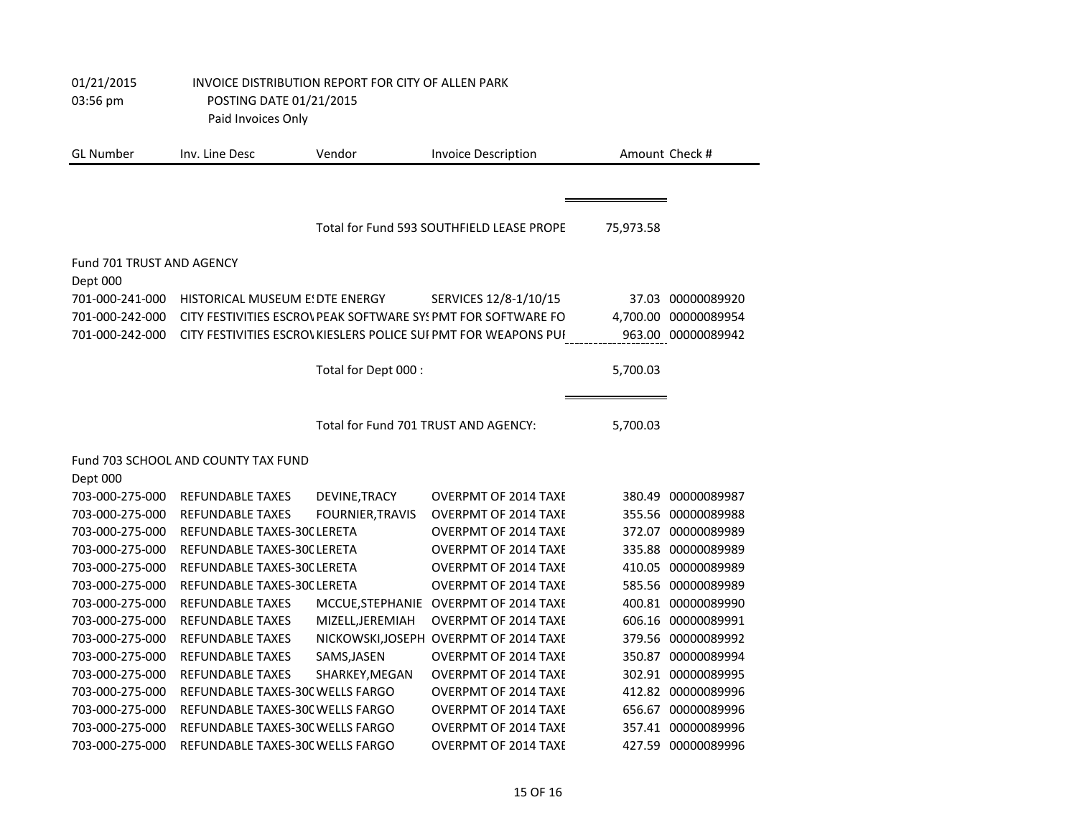| 01/21/2015 | INVOICE DISTRIBUTION REPORT FOR CITY OF ALLEN PARK |
|------------|----------------------------------------------------|
| 03:56 pm   | POSTING DATE 01/21/2015                            |
|            | Paid Invoices Only                                 |

| <b>GL Number</b>                 | Inv. Line Desc                      | Vendor                               | <b>Invoice Description</b>                                     |           | Amount Check #       |
|----------------------------------|-------------------------------------|--------------------------------------|----------------------------------------------------------------|-----------|----------------------|
|                                  |                                     |                                      |                                                                |           |                      |
|                                  |                                     |                                      | Total for Fund 593 SOUTHFIELD LEASE PROPE                      | 75,973.58 |                      |
| <b>Fund 701 TRUST AND AGENCY</b> |                                     |                                      |                                                                |           |                      |
| Dept 000                         |                                     |                                      |                                                                |           |                      |
| 701-000-241-000                  | HISTORICAL MUSEUM E! DTE ENERGY     |                                      | SERVICES 12/8-1/10/15                                          |           | 37.03 00000089920    |
| 701-000-242-000                  |                                     |                                      | CITY FESTIVITIES ESCROVPEAK SOFTWARE SYSPMT FOR SOFTWARE FO    |           | 4,700.00 00000089954 |
| 701-000-242-000                  |                                     |                                      | CITY FESTIVITIES ESCROVKIESLERS POLICE SUI PMT FOR WEAPONS PUI |           | 963.00 00000089942   |
|                                  |                                     |                                      |                                                                |           |                      |
|                                  |                                     | Total for Dept 000 :                 |                                                                | 5,700.03  |                      |
|                                  |                                     |                                      |                                                                |           |                      |
|                                  |                                     | Total for Fund 701 TRUST AND AGENCY: |                                                                | 5,700.03  |                      |
|                                  | Fund 703 SCHOOL AND COUNTY TAX FUND |                                      |                                                                |           |                      |
| Dept 000                         |                                     |                                      |                                                                |           |                      |
| 703-000-275-000                  | <b>REFUNDABLE TAXES</b>             | DEVINE, TRACY                        | <b>OVERPMT OF 2014 TAXE</b>                                    |           | 380.49 00000089987   |
| 703-000-275-000                  | <b>REFUNDABLE TAXES</b>             | <b>FOURNIER, TRAVIS</b>              | <b>OVERPMT OF 2014 TAXE</b>                                    |           | 355.56 00000089988   |
| 703-000-275-000                  | REFUNDABLE TAXES-30C LERETA         |                                      | <b>OVERPMT OF 2014 TAXE</b>                                    |           | 372.07 00000089989   |
| 703-000-275-000                  | REFUNDABLE TAXES-30C LERETA         |                                      | <b>OVERPMT OF 2014 TAXE</b>                                    |           | 335.88 00000089989   |
| 703-000-275-000                  | REFUNDABLE TAXES-30C LERETA         |                                      | <b>OVERPMT OF 2014 TAXE</b>                                    |           | 410.05 00000089989   |
| 703-000-275-000                  | REFUNDABLE TAXES-30C LERETA         |                                      | <b>OVERPMT OF 2014 TAXE</b>                                    |           | 585.56 00000089989   |
| 703-000-275-000                  | <b>REFUNDABLE TAXES</b>             |                                      | MCCUE, STEPHANIE OVERPMT OF 2014 TAXE                          |           | 400.81 00000089990   |
| 703-000-275-000                  | <b>REFUNDABLE TAXES</b>             | MIZELL, JEREMIAH                     | <b>OVERPMT OF 2014 TAXE</b>                                    |           | 606.16 00000089991   |
| 703-000-275-000                  | <b>REFUNDABLE TAXES</b>             |                                      | NICKOWSKI, JOSEPH OVERPMT OF 2014 TAXE                         |           | 379.56 00000089992   |
| 703-000-275-000                  | <b>REFUNDABLE TAXES</b>             | SAMS, JASEN                          | <b>OVERPMT OF 2014 TAXE</b>                                    | 350.87    | 00000089994          |
| 703-000-275-000                  | <b>REFUNDABLE TAXES</b>             | SHARKEY, MEGAN                       | <b>OVERPMT OF 2014 TAXE</b>                                    |           | 302.91 00000089995   |
| 703-000-275-000                  | REFUNDABLE TAXES-30C WELLS FARGO    |                                      | <b>OVERPMT OF 2014 TAXE</b>                                    |           | 412.82 00000089996   |
| 703-000-275-000                  | REFUNDABLE TAXES-30C WELLS FARGO    |                                      | <b>OVERPMT OF 2014 TAXE</b>                                    |           | 656.67 00000089996   |
| 703-000-275-000                  | REFUNDABLE TAXES-30C WELLS FARGO    |                                      | <b>OVERPMT OF 2014 TAXE</b>                                    |           | 357.41 00000089996   |
| 703-000-275-000                  | REFUNDABLE TAXES-30C WELLS FARGO    |                                      | <b>OVERPMT OF 2014 TAXE</b>                                    |           | 427.59 00000089996   |